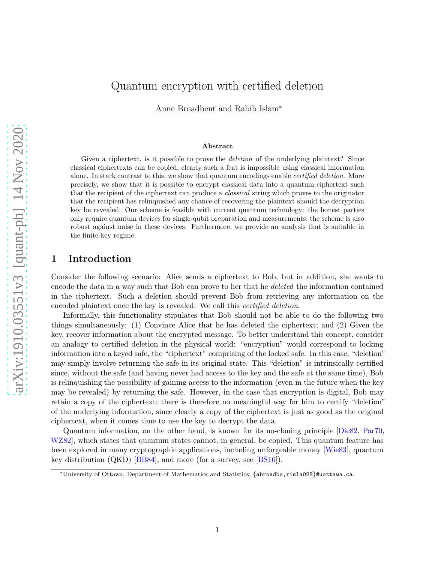# Quantum encryption with certified deletion

Anne Broadbent and Rabib Islam<sup>∗</sup>

#### Abstract

Given a ciphertext, is it possible to prove the *deletion* of the underlying plaintext? Since classical ciphertexts can be copied, clearly such a feat is impossible using classical information alone. In stark contrast to this, we show that quantum encodings enable *certified deletion*. More precisely, we show that it is possible to encrypt classical data into a quantum ciphertext such that the recipient of the ciphertext can produce a classical string which proves to the originator that the recipient has relinquished any chance of recovering the plaintext should the decryption key be revealed. Our scheme is feasible with current quantum technology: the honest parties only require quantum devices for single-qubit preparation and measurements; the scheme is also robust against noise in these devices. Furthermore, we provide an analysis that is suitable in the finite-key regime.

# 1 Introduction

Consider the following scenario: Alice sends a ciphertext to Bob, but in addition, she wants to encode the data in a way such that Bob can prove to her that he *deleted* the information contained in the ciphertext. Such a deletion should prevent Bob from retrieving any information on the encoded plaintext once the key is revealed. We call this *certified deletion*.

Informally, this functionality stipulates that Bob should not be able to do the following two things simultaneously: (1) Convince Alice that he has deleted the ciphertext; and (2) Given the key, recover information about the encrypted message. To better understand this concept, consider an analogy to certified deletion in the physical world: "encryption" would correspond to locking information into a keyed safe, the "ciphertext" comprising of the locked safe. In this case, "deletion" may simply involve returning the safe in its original state. This "deletion" is intrinsically certified since, without the safe (and having never had access to the key and the safe at the same time), Bob is relinquishing the possibility of gaining access to the information (even in the future when the key may be revealed) by returning the safe. However, in the case that encryption is digital, Bob may retain a copy of the ciphertext; there is therefore no meaningful way for him to certify "deletion" of the underlying information, since clearly a copy of the ciphertext is just as good as the original ciphertext, when it comes time to use the key to decrypt the data.

Quantum information, on the other hand, is known for its no-cloning principle [\[Die82,](#page-25-0) [Par70,](#page-26-0) [WZ82\]](#page-27-0), which states that quantum states cannot, in general, be copied. This quantum feature has been explored in many cryptographic applications, including unforgeable money [\[Wie83\]](#page-27-1), quantum key distribution (QKD) [\[BB84\]](#page-25-1), and more (for a survey, see [\[BS16\]](#page-25-2)).

<sup>∗</sup>University of Ottawa, Department of Mathematics and Statistics; {abroadbe,risla028}@uottawa.ca.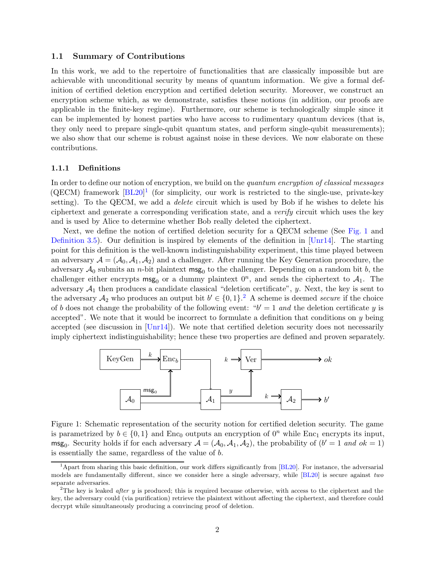### 1.1 Summary of Contributions

In this work, we add to the repertoire of functionalities that are classically impossible but are achievable with unconditional security by means of quantum information. We give a formal definition of certified deletion encryption and certified deletion security. Moreover, we construct an encryption scheme which, as we demonstrate, satisfies these notions (in addition, our proofs are applicable in the finite-key regime). Furthermore, our scheme is technologically simple since it can be implemented by honest parties who have access to rudimentary quantum devices (that is, they only need to prepare single-qubit quantum states, and perform single-qubit measurements); we also show that our scheme is robust against noise in these devices. We now elaborate on these contributions.

#### <span id="page-1-3"></span>1.1.1 Definitions

In order to define our notion of encryption, we build on the quantum encryption of classical messages (QECM) framework  $[BL20]$ <sup>[1](#page-1-0)</sup> (for simplicity, our work is restricted to the single-use, private-key setting). To the QECM, we add a *delete* circuit which is used by Bob if he wishes to delete his ciphertext and generate a corresponding verification state, and a verify circuit which uses the key and is used by Alice to determine whether Bob really deleted the ciphertext.

Next, we define the notion of certified deletion security for a QECM scheme (See [Fig. 1](#page-1-1) and [Definition 3.5\)](#page-13-0). Our definition is inspired by elements of the definition in [\[Unr14\]](#page-27-2). The starting point for this definition is the well-known indistinguishability experiment, this time played between an adversary  $\mathcal{A} = (\mathcal{A}_0, \mathcal{A}_1, \mathcal{A}_2)$  and a challenger. After running the Key Generation procedure, the adversary  $A_0$  submits an *n*-bit plaintext  $\text{msg}_0$  to the challenger. Depending on a random bit b, the challenger either encrypts  $\text{msg}_0$  or a dummy plaintext  $0^n$ , and sends the ciphertext to  $\mathcal{A}_1$ . The adversary  $A_1$  then produces a candidate classical "deletion certificate", y. Next, the key is sent to the adversary  $\mathcal{A}_2$  $\mathcal{A}_2$  who produces an output bit  $b' \in \{0,1\}$ .<sup>2</sup> A scheme is deemed secure if the choice of b does not change the probability of the following event: " $b' = 1$  and the deletion certificate y is accepted". We note that it would be incorrect to formulate a definition that conditions on  $y$  being accepted (see discussion in [\[Unr14\]](#page-27-2)). We note that certified deletion security does not necessarily imply ciphertext indistinguishability; hence these two properties are defined and proven separately.



<span id="page-1-1"></span>Figure 1: Schematic representation of the security notion for certified deletion security. The game is parametrized by  $b \in \{0,1\}$  and Enc<sub>0</sub> outputs an encryption of  $0^n$  while Enc<sub>1</sub> encrypts its input, msg<sub>0</sub>. Security holds if for each adversary  $A = (A_0, A_1, A_2)$ , the probability of  $(b' = 1$  and  $ok = 1)$ is essentially the same, regardless of the value of b.

<span id="page-1-0"></span><sup>1</sup>Apart from sharing this basic definition, our work differs significantly from [\[BL20\]](#page-25-3). For instance, the adversarial models are fundamentally different, since we consider here a single adversary, while [\[BL20\]](#page-25-3) is secure against two separate adversaries.

<span id="page-1-2"></span><sup>&</sup>lt;sup>2</sup>The key is leaked *after y* is produced; this is required because otherwise, with access to the ciphertext and the key, the adversary could (via purification) retrieve the plaintext without affecting the ciphertext, and therefore could decrypt while simultaneously producing a convincing proof of deletion.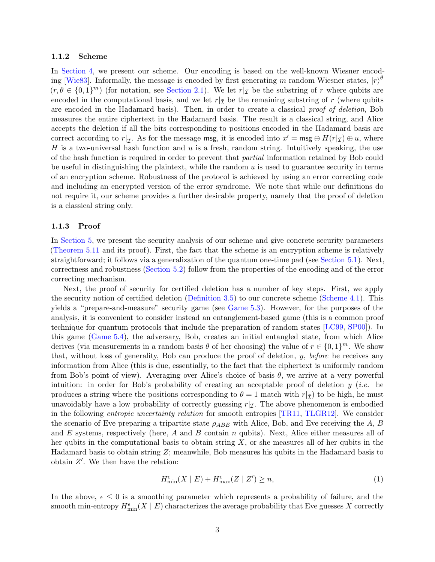#### 1.1.2 Scheme

In [Section 4,](#page-13-1) we present our scheme. Our encoding is based on the well-known Wiesner encod-ing [\[Wie83\]](#page-27-1). Informally, the message is encoded by first generating m random Wiesner states,  $|r\rangle^{\theta}$  $(r, \theta \in \{0,1\}^m)$  (for notation, see [Section 2.1\)](#page-5-0). We let  $r|_{\mathcal{I}}$  be the substring of r where qubits are encoded in the computational basis, and we let  $r|\bar{\tau}$  be the remaining substring of r (where qubits are encoded in the Hadamard basis). Then, in order to create a classical proof of deletion, Bob measures the entire ciphertext in the Hadamard basis. The result is a classical string, and Alice accepts the deletion if all the bits corresponding to positions encoded in the Hadamard basis are correct according to  $r|_{\bar{\mathcal{I}}}$ . As for the message msg, it is encoded into  $x' = \text{msg} \oplus H(r|_{\mathcal{I}}) \oplus u$ , where H is a two-universal hash function and  $u$  is a fresh, random string. Intuitively speaking, the use of the hash function is required in order to prevent that *partial* information retained by Bob could be useful in distinguishing the plaintext, while the random  $u$  is used to guarantee security in terms of an encryption scheme. Robustness of the protocol is achieved by using an error correcting code and including an encrypted version of the error syndrome. We note that while our definitions do not require it, our scheme provides a further desirable property, namely that the proof of deletion is a classical string only.

### 1.1.3 Proof

In [Section 5,](#page-13-2) we present the security analysis of our scheme and give concrete security parameters [\(Theorem 5.11](#page-24-0) and its proof). First, the fact that the scheme is an encryption scheme is relatively straightforward; it follows via a generalization of the quantum one-time pad (see [Section 5.1\)](#page-16-0). Next, correctness and robustness [\(Section 5.2\)](#page-16-1) follow from the properties of the encoding and of the error correcting mechanism.

Next, the proof of security for certified deletion has a number of key steps. First, we apply the security notion of certified deletion [\(Definition 3.5\)](#page-13-0) to our concrete scheme [\(Scheme 4.1\)](#page-13-3). This yields a "prepare-and-measure" security game (see [Game 5.3\)](#page-17-0). However, for the purposes of the analysis, it is convenient to consider instead an entanglement-based game (this is a common proof technique for quantum protocols that include the preparation of random states [\[LC99,](#page-26-1) [SP00\]](#page-26-2)). In this game [\(Game 5.4\)](#page-18-0), the adversary, Bob, creates an initial entangled state, from which Alice derives (via measurements in a random basis  $\theta$  of her choosing) the value of  $r \in \{0,1\}^m$ . We show that, without loss of generality, Bob can produce the proof of deletion, y, before he receives any information from Alice (this is due, essentially, to the fact that the ciphertext is uniformly random from Bob's point of view). Averaging over Alice's choice of basis  $\theta$ , we arrive at a very powerful intuition: in order for Bob's probability of creating an acceptable proof of deletion  $y$  (*i.e.* he produces a string where the positions corresponding to  $\theta = 1$  match with  $r|\bar{\tau}$  to be high, he must unavoidably have a low probability of correctly guessing  $r|_{\mathcal{I}}$ . The above phenomenon is embodied in the following *entropic uncertainty relation* for smooth entropies [\[TR11,](#page-27-3) [TLGR12\]](#page-27-4). We consider the scenario of Eve preparing a tripartite state  $\rho_{ABE}$  with Alice, Bob, and Eve receiving the A, B and  $E$  systems, respectively (here,  $A$  and  $B$  contain  $n$  qubits). Next, Alice either measures all of her qubits in the computational basis to obtain string  $X$ , or she measures all of her qubits in the Hadamard basis to obtain string  $Z$ ; meanwhile, Bob measures his qubits in the Hadamard basis to obtain  $Z'$ . We then have the relation:

$$
H_{\min}^{\epsilon}(X \mid E) + H_{\max}^{\epsilon}(Z \mid Z') \ge n,\tag{1}
$$

In the above,  $\epsilon \leq 0$  is a smoothing parameter which represents a probability of failure, and the smooth min-entropy  $H_{\text{min}}^{\epsilon}(X \mid E)$  characterizes the average probability that Eve guesses X correctly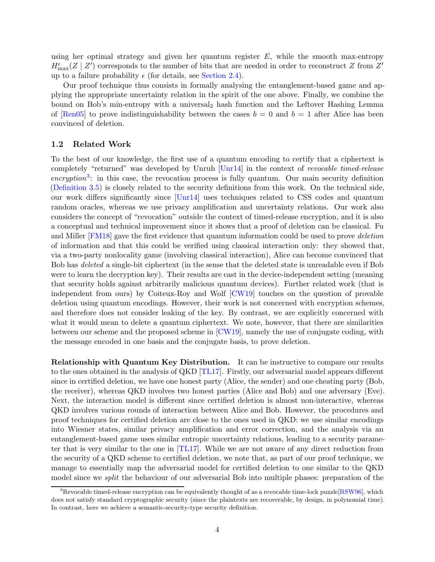using her optimal strategy and given her quantum register  $E$ , while the smooth max-entropy  $H_{\text{max}}^{\epsilon}(Z | Z')$  corresponds to the number of bits that are needed in order to reconstruct Z from Z' up to a failure probability  $\epsilon$  (for details, see [Section 2.4\)](#page-8-0).

Our proof technique thus consists in formally analysing the entanglement-based game and applying the appropriate uncertainty relation in the spirit of the one above. Finally, we combine the bound on Bob's min-entropy with a universal<sup>2</sup> hash function and the Leftover Hashing Lemma of  $\text{[Ren05]}$  to prove indistinguishability between the cases  $b = 0$  and  $b = 1$  after Alice has been convinced of deletion.

### 1.2 Related Work

To the best of our knowledge, the first use of a quantum encoding to certify that a ciphertext is completely "returned" was developed by Unruh [\[Unr14\]](#page-27-2) in the context of *revocable timed-release*  $\ell^2$  encryption<sup>[3](#page-3-0)</sup>: in this case, the revocation process is fully quantum. Our main security definition [\(Definition 3.5\)](#page-13-0) is closely related to the security definitions from this work. On the technical side, our work differs significantly since [\[Unr14\]](#page-27-2) uses techniques related to CSS codes and quantum random oracles, whereas we use privacy amplification and uncertainty relations. Our work also considers the concept of "revocation" outside the context of timed-release encryption, and it is also a conceptual and technical improvement since it shows that a proof of deletion can be classical. Fu and Miller [\[FM18\]](#page-25-4) gave the first evidence that quantum information could be used to prove *deletion* of information and that this could be verified using classical interaction only: they showed that, via a two-party nonlocality game (involving classical interaction), Alice can become convinced that Bob has deleted a single-bit ciphertext (in the sense that the deleted state is unreadable even if Bob were to learn the decryption key). Their results are cast in the device-independent setting (meaning that security holds against arbitrarily malicious quantum devices). Further related work (that is independent from ours) by Coiteux-Roy and Wolf [\[CW19\]](#page-25-5) touches on the question of provable deletion using quantum encodings. However, their work is not concerned with encryption schemes, and therefore does not consider leaking of the key. By contrast, we are explicitly concerned with what it would mean to delete a quantum ciphertext. We note, however, that there are similarities between our scheme and the proposed scheme in [\[CW19\]](#page-25-5), namely the use of conjugate coding, with the message encoded in one basis and the conjugate basis, to prove deletion.

Relationship with Quantum Key Distribution. It can be instructive to compare our results to the ones obtained in the analysis of QKD [\[TL17\]](#page-27-5). Firstly, our adversarial model appears different since in certified deletion, we have one honest party (Alice, the sender) and one cheating party (Bob, the receiver), whereas QKD involves two honest parties (Alice and Bob) and one adversary (Eve). Next, the interaction model is different since certified deletion is almost non-interactive, whereas QKD involves various rounds of interaction between Alice and Bob. However, the procedures and proof techniques for certified deletion are close to the ones used in QKD: we use similar encodings into Wiesner states, similar privacy amplification and error correction, and the analysis via an entanglement-based game uses similar entropic uncertainty relations, leading to a security parameter that is very similar to the one in [\[TL17\]](#page-27-5). While we are not aware of any direct reduction from the security of a QKD scheme to certified deletion, we note that, as part of our proof technique, we manage to essentially map the adversarial model for certified deletion to one similar to the QKD model since we split the behaviour of our adversarial Bob into multiple phases: preparation of the

<span id="page-3-0"></span><sup>&</sup>lt;sup>3</sup>Revocable timed-release encryption can be equivalently thought of as a revocable time-lock puzzle<sup>[\[RSW96\]](#page-26-4)</sup>, which does not satisfy standard cryptographic security (since the plaintexts are recoverable, by design, in polynomial time). In contrast, here we achieve a semantic-security-type security definition.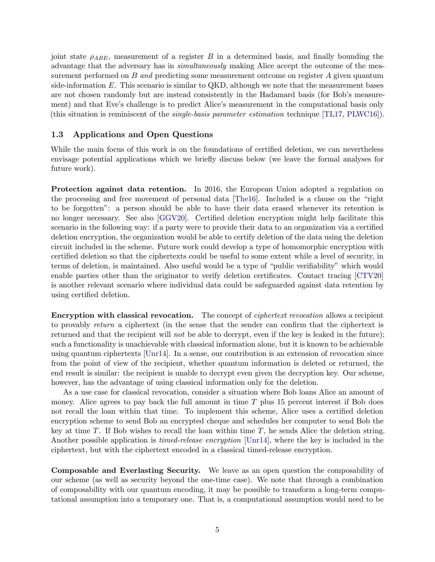joint state  $\rho_{ABE}$ , measurement of a register B in a determined basis, and finally bounding the advantage that the adversary has in simultaneously making Alice accept the outcome of the measurement performed on B and predicting some measurement outcome on register  $A$  given quantum side-information  $E$ . This scenario is similar to QKD, although we note that the measurement bases are not chosen randomly but are instead consistently in the Hadamard basis (for Bob's measurement) and that Eve's challenge is to predict Alice's measurement in the computational basis only (this situation is reminiscent of the *single-basis parameter estimation* technique  $[TL17, PLWC16]$  $[TL17, PLWC16]$ ).

## 1.3 Applications and Open Questions

While the main focus of this work is on the foundations of certified deletion, we can nevertheless envisage potential applications which we briefly discuss below (we leave the formal analyses for future work).

Protection against data retention. In 2016, the European Union adopted a regulation on the processing and free movement of personal data [\[The16\]](#page-27-6). Included is a clause on the "right to be forgotten": a person should be able to have their data erased whenever its retention is no longer necessary. See also [\[GGV20\]](#page-25-6). Certified deletion encryption might help facilitate this scenario in the following way: if a party were to provide their data to an organization via a certified deletion encryption, the organization would be able to certify deletion of the data using the deletion circuit included in the scheme. Future work could develop a type of homomorphic encryption with certified deletion so that the ciphertexts could be useful to some extent while a level of security, in terms of deletion, is maintained. Also useful would be a type of "public verifiability" which would enable parties other than the originator to verify deletion certificates. Contact tracing [\[CTV20\]](#page-25-7) is another relevant scenario where individual data could be safeguarded against data retention by using certified deletion.

Encryption with classical revocation. The concept of *ciphertext revocation* allows a recipient to provably return a ciphertext (in the sense that the sender can confirm that the ciphertext is returned and that the recipient will not be able to decrypt, even if the key is leaked in the future); such a functionality is unachievable with classical information alone, but it is known to be achievable using quantum ciphertexts [\[Unr14\]](#page-27-2). In a sense, our contribution is an extension of revocation since from the point of view of the recipient, whether quantum information is deleted or returned, the end result is similar: the recipient is unable to decrypt even given the decryption key. Our scheme, however, has the advantage of using classical information only for the deletion.

As a use case for classical revocation, consider a situation where Bob loans Alice an amount of money. Alice agrees to pay back the full amount in time  $T$  plus 15 percent interest if Bob does not recall the loan within that time. To implement this scheme, Alice uses a certified deletion encryption scheme to send Bob an encrypted cheque and schedules her computer to send Bob the key at time  $T$ . If Bob wishes to recall the loan within time  $T$ , he sends Alice the deletion string. Another possible application is *timed-release encryption* [\[Unr14\]](#page-27-2), where the key is included in the ciphertext, but with the ciphertext encoded in a classical timed-release encryption.

Composable and Everlasting Security. We leave as an open question the composability of our scheme (as well as security beyond the one-time case). We note that through a combination of composability with our quantum encoding, it may be possible to transform a long-term computational assumption into a temporary one. That is, a computational assumption would need to be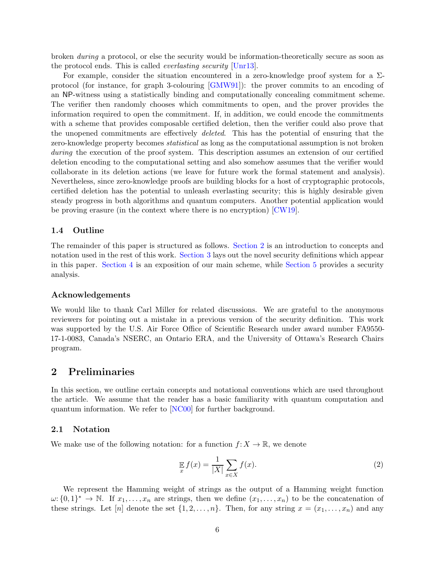broken during a protocol, or else the security would be information-theoretically secure as soon as the protocol ends. This is called *everlasting security* [\[Unr13\]](#page-27-7).

For example, consider the situation encountered in a zero-knowledge proof system for a  $\Sigma$ protocol (for instance, for graph 3-colouring [\[GMW91\]](#page-26-6)): the prover commits to an encoding of an NP-witness using a statistically binding and computationally concealing commitment scheme. The verifier then randomly chooses which commitments to open, and the prover provides the information required to open the commitment. If, in addition, we could encode the commitments with a scheme that provides composable certified deletion, then the verifier could also prove that the unopened commitments are effectively deleted. This has the potential of ensuring that the zero-knowledge property becomes statistical as long as the computational assumption is not broken during the execution of the proof system. This description assumes an extension of our certified deletion encoding to the computational setting and also somehow assumes that the verifier would collaborate in its deletion actions (we leave for future work the formal statement and analysis). Nevertheless, since zero-knowledge proofs are building blocks for a host of cryptographic protocols, certified deletion has the potential to unleash everlasting security; this is highly desirable given steady progress in both algorithms and quantum computers. Another potential application would be proving erasure (in the context where there is no encryption) [\[CW19\]](#page-25-5).

# 1.4 Outline

The remainder of this paper is structured as follows. [Section 2](#page-5-1) is an introduction to concepts and notation used in the rest of this work. [Section 3](#page-11-0) lays out the novel security definitions which appear in this paper. [Section 4](#page-13-1) is an exposition of our main scheme, while [Section 5](#page-13-2) provides a security analysis.

#### Acknowledgements

We would like to thank Carl Miller for related discussions. We are grateful to the anonymous reviewers for pointing out a mistake in a previous version of the security definition. This work was supported by the U.S. Air Force Office of Scientific Research under award number FA9550- 17-1-0083, Canada's NSERC, an Ontario ERA, and the University of Ottawa's Research Chairs program.

# <span id="page-5-1"></span>2 Preliminaries

In this section, we outline certain concepts and notational conventions which are used throughout the article. We assume that the reader has a basic familiarity with quantum computation and quantum information. We refer to [\[NC00\]](#page-26-7) for further background.

#### <span id="page-5-0"></span>2.1 Notation

We make use of the following notation: for a function  $f: X \to \mathbb{R}$ , we denote

$$
\mathop{\mathbb{E}}_{x} f(x) = \frac{1}{|X|} \sum_{x \in X} f(x). \tag{2}
$$

We represent the Hamming weight of strings as the output of a Hamming weight function  $\omega: \{0,1\}^* \to \mathbb{N}$ . If  $x_1, \ldots, x_n$  are strings, then we define  $(x_1, \ldots, x_n)$  to be the concatenation of these strings. Let [n] denote the set  $\{1, 2, \ldots, n\}$ . Then, for any string  $x = (x_1, \ldots, x_n)$  and any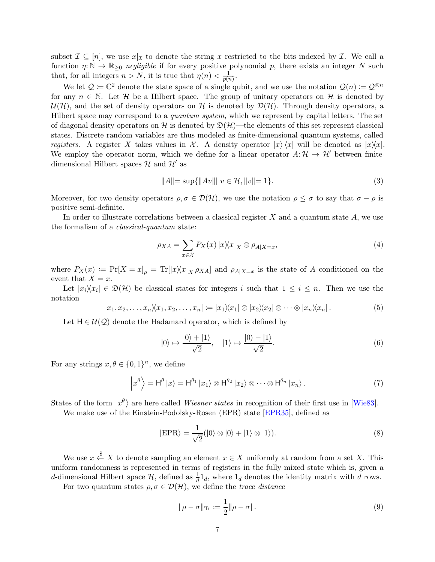subset  $\mathcal{I} \subseteq [n]$ , we use  $x|_{\mathcal{I}}$  to denote the string x restricted to the bits indexed by  $\mathcal{I}$ . We call a function  $\eta: \mathbb{N} \to \mathbb{R}_{\geq 0}$  negligible if for every positive polynomial p, there exists an integer N such that, for all integers  $n > N$ , it is true that  $\eta(n) < \frac{1}{n(n)}$  $\frac{1}{p(n)}$ .

We let  $\mathcal{Q} := \mathbb{C}^2$  denote the state space of a single qubit, and we use the notation  $\mathcal{Q}(n) := \mathcal{Q}^{\otimes n}$ for any  $n \in \mathbb{N}$ . Let H be a Hilbert space. The group of unitary operators on H is denoted by  $U(\mathcal{H})$ , and the set of density operators on H is denoted by  $\mathcal{D}(\mathcal{H})$ . Through density operators, a Hilbert space may correspond to a quantum system, which we represent by capital letters. The set of diagonal density operators on H is denoted by  $\mathfrak{D}(\mathcal{H})$ —the elements of this set represent classical states. Discrete random variables are thus modeled as finite-dimensional quantum systems, called registers. A register X takes values in X. A density operator  $|x\rangle\langle x|$  will be denoted as  $|x\rangle\langle x|$ . We employ the operator norm, which we define for a linear operator  $A: \mathcal{H} \to \mathcal{H}'$  between finitedimensional Hilbert spaces  $\mathcal{H}$  and  $\mathcal{H}'$  as

$$
||A|| = \sup{||Av|| | v \in \mathcal{H}, ||v|| = 1}.
$$
\n(3)

Moreover, for two density operators  $\rho, \sigma \in \mathcal{D}(\mathcal{H})$ , we use the notation  $\rho \leq \sigma$  to say that  $\sigma - \rho$  is positive semi-definite.

In order to illustrate correlations between a classical register  $X$  and a quantum state  $A$ , we use the formalism of a classical-quantum state:

$$
\rho_{XA} = \sum_{x \in \mathcal{X}} P_X(x) |x\rangle\langle x|_X \otimes \rho_{A|X=x},\tag{4}
$$

where  $P_X(x) := \Pr[X = x]_p = \Pr[|x|/x|_X \rho_{XA}]$  and  $\rho_{A|X=x}$  is the state of A conditioned on the event that  $X = x$ .

Let  $|x_i\rangle\langle x_i| \in \mathfrak{D}(\mathcal{H})$  be classical states for integers i such that  $1 \leq i \leq n$ . Then we use the notation

$$
|x_1, x_2, \dots, x_n \rangle \langle x_1, x_2, \dots, x_n| := |x_1 \rangle \langle x_1| \otimes |x_2 \rangle \langle x_2| \otimes \dots \otimes |x_n \rangle \langle x_n|.
$$
 (5)

Let  $H \in \mathcal{U}(\mathcal{Q})$  denote the Hadamard operator, which is defined by

$$
|0\rangle \mapsto \frac{|0\rangle + |1\rangle}{\sqrt{2}}, \quad |1\rangle \mapsto \frac{|0\rangle - |1\rangle}{\sqrt{2}}.
$$
 (6)

For any strings  $x, \theta \in \{0, 1\}^n$ , we define

$$
\left|x^{\theta}\right\rangle = H^{\theta}\left|x\right\rangle = H^{\theta_{1}}\left|x_{1}\right\rangle \otimes H^{\theta_{2}}\left|x_{2}\right\rangle \otimes \cdots \otimes H^{\theta_{n}}\left|x_{n}\right\rangle. \tag{7}
$$

States of the form  $|x^{\theta}\rangle$  are here called *Wiesner states* in recognition of their first use in [\[Wie83\]](#page-27-1).

We make use of the Einstein-Podolsky-Rosen (EPR) state [\[EPR35\]](#page-25-8), defined as

$$
|\text{EPR}\rangle = \frac{1}{\sqrt{2}} (|0\rangle \otimes |0\rangle + |1\rangle \otimes |1\rangle).
$$
 (8)

We use  $x \stackrel{\$}{\leftarrow} X$  to denote sampling an element  $x \in X$  uniformly at random from a set X. This uniform randomness is represented in terms of registers in the fully mixed state which is, given a d-dimensional Hilbert space  $\mathcal{H}$ , defined as  $\frac{1}{d}$ , where  $1_d$  denotes the identity matrix with d rows.

For two quantum states  $\rho, \sigma \in \mathcal{D}(\mathcal{H})$ , we define the *trace distance* 

$$
\|\rho - \sigma\|_{\text{Tr}} \coloneqq \frac{1}{2} \|\rho - \sigma\|.\tag{9}
$$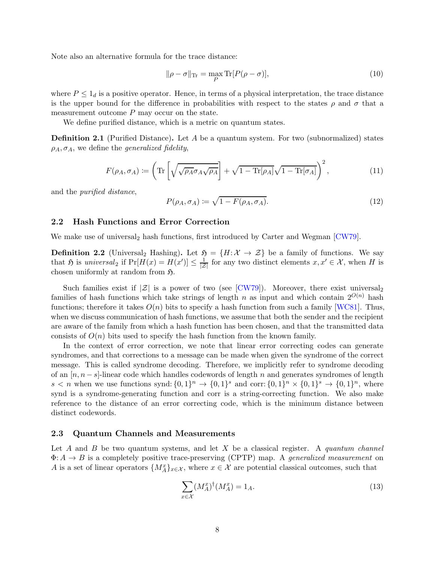Note also an alternative formula for the trace distance:

$$
\|\rho - \sigma\|_{\text{Tr}} = \max_{P} \text{Tr}[P(\rho - \sigma)],\tag{10}
$$

where  $P \leq 1_d$  is a positive operator. Hence, in terms of a physical interpretation, the trace distance is the upper bound for the difference in probabilities with respect to the states  $\rho$  and  $\sigma$  that a measurement outcome  $P$  may occur on the state.

We define purified distance, which is a metric on quantum states.

**Definition 2.1** (Purified Distance). Let A be a quantum system. For two (subnormalized) states  $\rho_A$ ,  $\sigma_A$ , we define the *generalized fidelity*,

$$
F(\rho_A, \sigma_A) := \left( \text{Tr} \left[ \sqrt{\sqrt{\rho_A} \sigma_A \sqrt{\rho_A}} \right] + \sqrt{1 - \text{Tr}[\rho_A]} \sqrt{1 - \text{Tr}[\sigma_A]} \right)^2, \tag{11}
$$

and the purified distance,

$$
P(\rho_A, \sigma_A) \coloneqq \sqrt{1 - F(\rho_A, \sigma_A)}.\tag{12}
$$

### 2.2 Hash Functions and Error Correction

We make use of universal<sub>2</sub> hash functions, first introduced by Carter and Wegman [\[CW79\]](#page-25-9).

**Definition 2.2** (Universal<sub>2</sub> Hashing). Let  $\mathfrak{H} = \{H: \mathcal{X} \to \mathcal{Z}\}$  be a family of functions. We say that  $\mathfrak{H}$  is universal<sub>2</sub> if  $Pr[H(x) = H(x')] \leq \frac{1}{|\mathcal{Z}|}$  for any two distinct elements  $x, x' \in \mathcal{X}$ , when H is chosen uniformly at random from  $\mathfrak{H}$ .

Such families exist if  $|\mathcal{Z}|$  is a power of two (see [\[CW79\]](#page-25-9)). Moreover, there exist universal<sub>2</sub> families of hash functions which take strings of length n as input and which contain  $2^{O(n)}$  hash functions; therefore it takes  $O(n)$  bits to specify a hash function from such a family [\[WC81\]](#page-27-8). Thus, when we discuss communication of hash functions, we assume that both the sender and the recipient are aware of the family from which a hash function has been chosen, and that the transmitted data consists of  $O(n)$  bits used to specify the hash function from the known family.

In the context of error correction, we note that linear error correcting codes can generate syndromes, and that corrections to a message can be made when given the syndrome of the correct message. This is called syndrome decoding. Therefore, we implicitly refer to syndrome decoding of an  $[n, n-s]$ -linear code which handles codewords of length n and generates syndromes of length  $s < n$  when we use functions synd:  $\{0,1\}^n \to \{0,1\}^s$  and corr:  $\{0,1\}^n \times \{0,1\}^s \to \{0,1\}^n$ , where synd is a syndrome-generating function and corr is a string-correcting function. We also make reference to the distance of an error correcting code, which is the minimum distance between distinct codewords.

#### <span id="page-7-0"></span>2.3 Quantum Channels and Measurements

Let A and B be two quantum systems, and let X be a classical register. A quantum channel  $\Phi: A \to B$  is a completely positive trace-preserving (CPTP) map. A *generalized measurement* on A is a set of linear operators  $\{M_A^x\}_{x \in \mathcal{X}}$ , where  $x \in \mathcal{X}$  are potential classical outcomes, such that

$$
\sum_{x \in \mathcal{X}} (M_A^x)^\dagger (M_A^x) = 1_A. \tag{13}
$$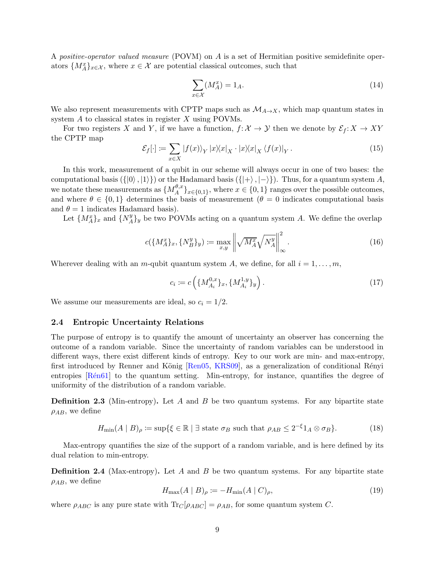A positive-operator valued measure (POVM) on A is a set of Hermitian positive semidefinite operators  $\{M_A^x\}_{x \in \mathcal{X}}$ , where  $x \in \mathcal{X}$  are potential classical outcomes, such that

$$
\sum_{x \in \mathcal{X}} (M_A^x) = 1_A. \tag{14}
$$

We also represent measurements with CPTP maps such as  $\mathcal{M}_{A\to X}$ , which map quantum states in system A to classical states in register X using POVMs.

For two registers X and Y, if we have a function,  $f: \mathcal{X} \to \mathcal{Y}$  then we denote by  $\mathcal{E}_f: X \to XY$ the CPTP map

$$
\mathcal{E}_f[\cdot] := \sum_{x \in X} |f(x)\rangle_Y |x\rangle\langle x|_X \cdot |x\rangle\langle x|_X \langle f(x)|_Y. \tag{15}
$$

In this work, measurement of a qubit in our scheme will always occur in one of two bases: the computational basis  $(\{|0\rangle, |1\rangle\})$  or the Hadamard basis  $(\{|+\rangle, |-\rangle\})$ . Thus, for a quantum system A, we notate these measurements as  $\{M_A^{\theta,x}\}$  $\{a, a'\}_{a \in \{0,1\}}$ , where  $x \in \{0,1\}$  ranges over the possible outcomes, and where  $\theta \in \{0,1\}$  determines the basis of measurement  $(\theta = 0$  indicates computational basis and  $\theta = 1$  indicates Hadamard basis).

Let  $\{M_A^x\}_x$  and  $\{N_A^y\}$  ${y \atop A}$  be two POVMs acting on a quantum system A. We define the overlap

$$
c({M_A^x}_x, {N_B^y}_y) := \max_{x,y} \left\| \sqrt{M_A^x} \sqrt{N_A^y} \right\|_{\infty}^2.
$$
 (16)

Wherever dealing with an m-qubit quantum system A, we define, for all  $i = 1, \ldots, m$ ,

$$
c_i := c\left(\{M_{A_i}^{0,x}\}_x, \{M_{A_i}^{1,y}\}_y\right). \tag{17}
$$

We assume our measurements are ideal, so  $c_i = 1/2$ .

#### <span id="page-8-0"></span>2.4 Entropic Uncertainty Relations

The purpose of entropy is to quantify the amount of uncertainty an observer has concerning the outcome of a random variable. Since the uncertainty of random variables can be understood in different ways, there exist different kinds of entropy. Key to our work are min- and max-entropy, first introduced by Renner and König [\[Ren05,](#page-26-3) [KRS09\]](#page-26-8), as a generalization of conditional Rényi entropies [Rén61] to the quantum setting. Min-entropy, for instance, quantifies the degree of uniformity of the distribution of a random variable.

**Definition 2.3** (Min-entropy). Let A and B be two quantum systems. For any bipartite state  $\rho_{AB}$ , we define

$$
H_{\min}(A \mid B)_{\rho} \coloneqq \sup \{ \xi \in \mathbb{R} \mid \exists \text{ state } \sigma_B \text{ such that } \rho_{AB} \le 2^{-\xi} 1_A \otimes \sigma_B \}. \tag{18}
$$

Max-entropy quantifies the size of the support of a random variable, and is here defined by its dual relation to min-entropy.

**Definition 2.4** (Max-entropy). Let A and B be two quantum systems. For any bipartite state  $\rho_{AB}$ , we define

$$
H_{\text{max}}(A \mid B)_{\rho} := -H_{\text{min}}(A \mid C)_{\rho},\tag{19}
$$

where  $\rho_{ABC}$  is any pure state with  $\text{Tr}_{C}[\rho_{ABC}] = \rho_{AB}$ , for some quantum system C.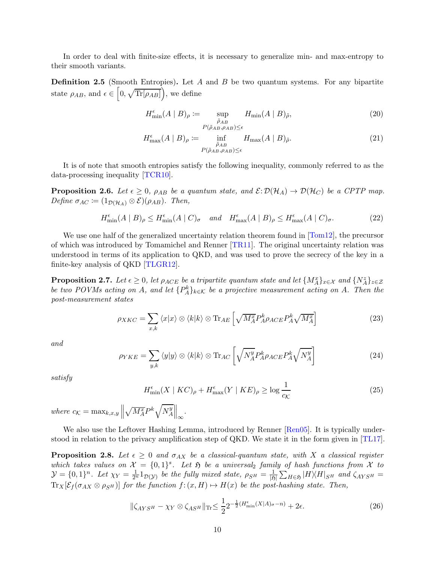In order to deal with finite-size effects, it is necessary to generalize min- and max-entropy to their smooth variants.

**Definition 2.5** (Smooth Entropies). Let A and B be two quantum systems. For any bipartite state  $\rho_{AB}$ , and  $\epsilon \in [0, \sqrt{\text{Tr}[\rho_{AB}]}],$  we define

$$
H_{\min}^{\epsilon}(A \mid B)_{\rho} := \sup_{\substack{\tilde{\rho}_{AB} \\ P(\tilde{\rho}_{AB}, \rho_{AB}) \le \epsilon}} H_{\min}(A \mid B)_{\tilde{\rho}},\tag{20}
$$

$$
H_{\max}^{\epsilon}(A \mid B)_{\rho} := \inf_{\substack{\tilde{\rho}_{AB} \\ P(\tilde{\rho}_{AB}, \rho_{AB}) \le \epsilon}} H_{\max}(A \mid B)_{\tilde{\rho}}.
$$
 (21)

<span id="page-9-1"></span>It is of note that smooth entropies satisfy the following inequality, commonly referred to as the data-processing inequality [\[TCR10\]](#page-26-10).

**Proposition 2.6.** Let  $\epsilon \geq 0$ ,  $\rho_{AB}$  be a quantum state, and  $\mathcal{E}: \mathcal{D}(\mathcal{H}_A) \to \mathcal{D}(\mathcal{H}_C)$  be a CPTP map. Define  $\sigma_{AC} \coloneqq (1_{\mathcal{D}(\mathcal{H}_A)} \otimes \mathcal{E})(\rho_{AB})$ . Then,

$$
H_{\min}^{\epsilon}(A \mid B)_{\rho} \le H_{\min}^{\epsilon}(A \mid C)_{\sigma} \quad \text{and} \quad H_{\max}^{\epsilon}(A \mid B)_{\rho} \le H_{\max}^{\epsilon}(A \mid C)_{\sigma}.
$$
 (22)

We use one half of the generalized uncertainty relation theorem found in  $\lceil \text{Tom12} \rceil$ , the precursor of which was introduced by Tomamichel and Renner [\[TR11\]](#page-27-3). The original uncertainty relation was understood in terms of its application to QKD, and was used to prove the secrecy of the key in a finite-key analysis of QKD [\[TLGR12\]](#page-27-4).

<span id="page-9-0"></span>**Proposition 2.7.** Let  $\epsilon \geq 0$ , let  $\rho_{ACE}$  be a tripartite quantum state and let  $\{M_A^x\}_{x \in \mathcal{X}}$  and  $\{N_A^z\}_{z \in \mathcal{Z}}$ be two POVMs acting on A, and let  $\{P_A^k\}_{k\in\mathcal{K}}$  be a projective measurement acting on A. Then the post-measurement states

$$
\rho_{XKC} = \sum_{x,k} \langle x|x\rangle \otimes \langle k|k\rangle \otimes \text{Tr}_{AE} \left[ \sqrt{M_A^x} P_A^k \rho_{ACE} P_A^k \sqrt{M_A^x} \right] \tag{23}
$$

and

$$
\rho_{YKE} = \sum_{y,k} \langle y|y \rangle \otimes \langle k|k \rangle \otimes \text{Tr}_{AC} \left[ \sqrt{N_A^y} P_A^k \rho_{ACE} P_A^k \sqrt{N_A^y} \right] \tag{24}
$$

satisfy

$$
H_{\min}^{\epsilon}(X \mid KC)_{\rho} + H_{\max}^{\epsilon}(Y \mid KE)_{\rho} \ge \log \frac{1}{c_{\mathcal{K}}} \tag{25}
$$

where  $c_{\mathcal{K}} = \max_{k,x,y}$  $\sqrt{M^x_A} P^k \sqrt{N^y_A}$ A  $\Big\|_{\infty}$ .

<span id="page-9-2"></span>We also use the Leftover Hashing Lemma, introduced by Renner [\[Ren05\]](#page-26-3). It is typically understood in relation to the privacy amplification step of QKD. We state it in the form given in [\[TL17\]](#page-27-5).

**Proposition 2.8.** Let  $\epsilon \geq 0$  and  $\sigma_{AX}$  be a classical-quantum state, with X a classical register which takes values on  $\mathcal{X} = \{0,1\}^s$ . Let  $\mathfrak H$  be a universal family of hash functions from  $\mathcal X$  to  $\mathcal{Y} = \{0,1\}^n$ . Let  $\chi_Y = \frac{1}{2^n}1_{\mathcal{D}(\mathcal{Y})}$  be the fully mixed state,  $\rho_{S^H} = \frac{1}{|\mathfrak{H}|} \sum_{H \in \mathfrak{H}} |H \rangle \langle H|_{S^H}$  and  $\zeta_{AYS^H} =$  $Tr_X [\mathcal{E}_f(\sigma_{AX} \otimes \rho_{SH})]$  for the function  $f:(x,H) \mapsto H(x)$  be the post-hashing state. Then,

$$
\|\zeta_{AYS^H} - \chi_Y \otimes \zeta_{AS^H}\|_{\text{Tr}} \le \frac{1}{2} 2^{-\frac{1}{2}(H_{\min}^{\epsilon}(X|A)\sigma - n)} + 2\epsilon. \tag{26}
$$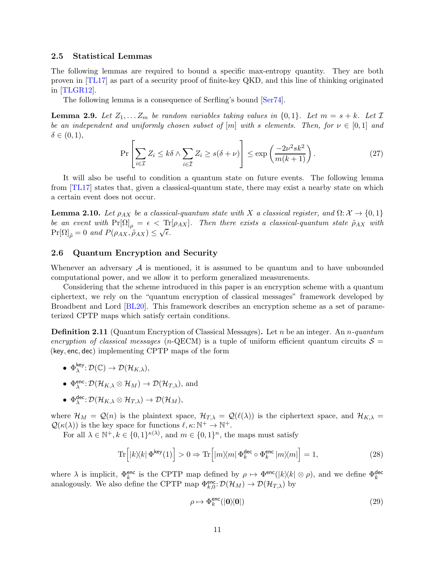#### 2.5 Statistical Lemmas

The following lemmas are required to bound a specific max-entropy quantity. They are both proven in [\[TL17\]](#page-27-5) as part of a security proof of finite-key QKD, and this line of thinking originated in [\[TLGR12\]](#page-27-4).

<span id="page-10-1"></span>The following lemma is a consequence of Serfling's bound [\[Ser74\]](#page-26-11).

**Lemma 2.9.** Let  $Z_1, \ldots, Z_m$  be random variables taking values in  $\{0,1\}$ . Let  $m = s + k$ . Let  $\mathcal{I}$ be an independent and uniformly chosen subset of  $[m]$  with s elements. Then, for  $\nu \in [0,1]$  and  $\delta \in (0,1),$ 

$$
\Pr\left[\sum_{i\in\mathcal{I}}Z_i\leq k\delta\wedge\sum_{i\in\bar{\mathcal{I}}}Z_i\geq s(\delta+\nu)\right]\leq \exp\left(\frac{-2\nu^2sk^2}{m(k+1)}\right). \tag{27}
$$

<span id="page-10-2"></span>It will also be useful to condition a quantum state on future events. The following lemma from [\[TL17\]](#page-27-5) states that, given a classical-quantum state, there may exist a nearby state on which a certain event does not occur.

**Lemma 2.10.** Let  $\rho_{AX}$  be a classical-quantum state with X a classical register, and  $\Omega: \mathcal{X} \to \{0, 1\}$ be an event with  $Pr[\Omega]_{\rho} = \epsilon < Tr[\rho_{AX}]$ . Then there exists a classical-quantum state  $\tilde{\rho}_{AX}$  with  $\Pr[\Omega]_{\tilde{\rho}} = 0 \text{ and } P(\rho_{AX}, \tilde{\rho}_{AX}) \leq \sqrt{\epsilon}.$ 

### 2.6 Quantum Encryption and Security

Whenever an adversary  $\mathcal A$  is mentioned, it is assumed to be quantum and to have unbounded computational power, and we allow it to perform generalized measurements.

Considering that the scheme introduced in this paper is an encryption scheme with a quantum ciphertext, we rely on the "quantum encryption of classical messages" framework developed by Broadbent and Lord [\[BL20\]](#page-25-3). This framework describes an encryption scheme as a set of parameterized CPTP maps which satisfy certain conditions.

**Definition 2.11** (Quantum Encryption of Classical Messages). Let n be an integer. An n-quantum encryption of classical messages (n-QECM) is a tuple of uniform efficient quantum circuits  $S =$ (key, enc, dec) implementing CPTP maps of the form

- $\bullet$   $\Phi_{\lambda}^{\text{key}}$  $_{\lambda}^{\text{key}}$ :  $\mathcal{D}(\mathbb{C}) \to \mathcal{D}(\mathcal{H}_{K,\lambda}),$
- $\Phi_{\lambda}^{\text{enc}} : \mathcal{D}(\mathcal{H}_{K,\lambda} \otimes \mathcal{H}_M) \to \mathcal{D}(\mathcal{H}_{T,\lambda}),$  and
- $\Phi_{\lambda}^{\text{dec}} \colon \mathcal{D}(\mathcal{H}_{K,\lambda} \otimes \mathcal{H}_{T,\lambda}) \to \mathcal{D}(\mathcal{H}_M),$

where  $\mathcal{H}_M = \mathcal{Q}(n)$  is the plaintext space,  $\mathcal{H}_{T,\lambda} = \mathcal{Q}(\ell(\lambda))$  is the ciphertext space, and  $\mathcal{H}_{K,\lambda} =$  $\mathcal{Q}(\kappa(\lambda))$  is the key space for functions  $\ell, \kappa : \mathbb{N}^+ \to \mathbb{N}^+$ .

For all  $\lambda \in \mathbb{N}^+, k \in \{0,1\}^{\kappa(\lambda)}$ , and  $m \in \{0,1\}^n$ , the maps must satisfy

$$
\operatorname{Tr}\left[|k\rangle\langle k|\,\Phi^{\text{key}}(1)\right] > 0 \Rightarrow \operatorname{Tr}\left[|m\rangle\langle m|\,\Phi_k^{\text{dec}}\circ\Phi_k^{\text{enc}}|m\rangle\langle m|\right] = 1,\tag{28}
$$

where  $\lambda$  is implicit,  $\Phi_k^{\text{enc}}$  is the CPTP map defined by  $\rho \mapsto \Phi_{\text{enc}}(|k\rangle\langle k| \otimes \rho)$ , and we define  $\Phi_k^{\text{dec}}$ analogously. We also define the CPTP map  $\Phi_{k,0}^{\text{enc}}: \mathcal{D}(\mathcal{H}_M) \to \mathcal{D}(\mathcal{H}_{T,\lambda})$  by

<span id="page-10-0"></span>
$$
\rho \mapsto \Phi_k^{\text{enc}}(|0\rangle\!\langle 0|) \tag{29}
$$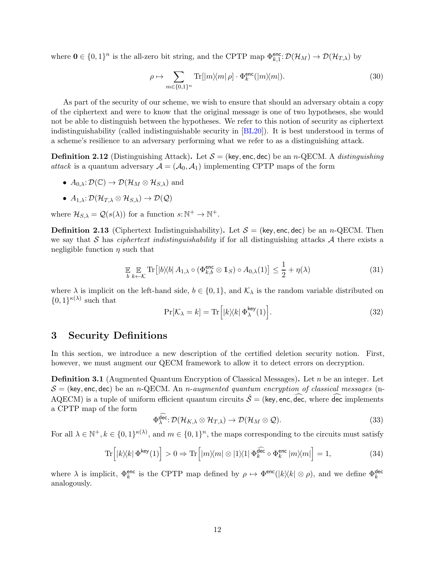where  $\mathbf{0} \in \{0,1\}^n$  is the all-zero bit string, and the CPTP map  $\Phi_{k,1}^{\text{enc}}: \mathcal{D}(\mathcal{H}_M) \to \mathcal{D}(\mathcal{H}_{T,\lambda})$  by

$$
\rho \mapsto \sum_{m \in \{0,1\}^n} \text{Tr}[|m\rangle\langle m| \rho] \cdot \Phi_k^{\text{enc}}(|m\rangle\langle m|). \tag{30}
$$

As part of the security of our scheme, we wish to ensure that should an adversary obtain a copy of the ciphertext and were to know that the original message is one of two hypotheses, she would not be able to distinguish between the hypotheses. We refer to this notion of security as ciphertext indistinguishability (called indistinguishable security in [\[BL20\]](#page-25-3)). It is best understood in terms of a scheme's resilience to an adversary performing what we refer to as a distinguishing attack.

**Definition 2.12** (Distinguishing Attack). Let  $S =$  (key, enc, dec) be an n-QECM. A distinguishing attack is a quantum adversary  $A = (A_0, A_1)$  implementing CPTP maps of the form

•  $A_{0,\lambda}: \mathcal{D}(\mathbb{C}) \to \mathcal{D}(\mathcal{H}_M \otimes \mathcal{H}_{S,\lambda})$  and

• 
$$
A_{1,\lambda}: \mathcal{D}(\mathcal{H}_{T,\lambda} \otimes \mathcal{H}_{S,\lambda}) \to \mathcal{D}(\mathcal{Q})
$$

<span id="page-11-2"></span>where  $\mathcal{H}_{S,\lambda} = \mathcal{Q}(s(\lambda))$  for a function  $s: \mathbb{N}^+ \to \mathbb{N}^+$ .

**Definition 2.13** (Ciphertext Indistinguishability). Let  $S = (key, enc, dec)$  be an n-QECM. Then we say that  $S$  has *ciphertext indistinguishability* if for all distinguishing attacks  $A$  there exists a negligible function  $\eta$  such that

$$
\mathbb{E}_{\substack{b \ k \leftarrow \mathcal{K}}} \mathop{\text{Tr}}\left[|b\rangle\langle b| A_{1,\lambda} \circ (\Phi_{k,b}^{\text{enc}} \otimes \mathbb{1}_S) \circ A_{0,\lambda}(1)\right] \le \frac{1}{2} + \eta(\lambda) \tag{31}
$$

where  $\lambda$  is implicit on the left-hand side,  $b \in \{0,1\}$ , and  $\mathcal{K}_{\lambda}$  is the random variable distributed on  $\{0,1\}^{\kappa(\lambda)}$  such that

$$
\Pr[\mathcal{K}_{\lambda} = k] = \text{Tr}\left[|k\rangle\langle k| \Phi_{\lambda}^{\text{key}}(1)\right].\tag{32}
$$

# <span id="page-11-0"></span>3 Security Definitions

<span id="page-11-1"></span>In this section, we introduce a new description of the certified deletion security notion. First, however, we must augment our QECM framework to allow it to detect errors on decryption.

**Definition 3.1** (Augmented Quantum Encryption of Classical Messages). Let  $n$  be an integer. Let  $S =$  (key, enc, dec) be an n-QECM. An n-augmented quantum encryption of classical messages (n-AQECM) is a tuple of uniform efficient quantum circuits  $\hat{\mathcal{S}} =$  (key, enc, dec, where dec implements a CPTP map of the form

$$
\Phi_{\lambda}^{\widehat{\text{dec}}}: \mathcal{D}(\mathcal{H}_{K,\lambda} \otimes \mathcal{H}_{T,\lambda}) \to \mathcal{D}(\mathcal{H}_M \otimes \mathcal{Q}). \tag{33}
$$

For all  $\lambda \in \mathbb{N}^+, k \in \{0,1\}^{\kappa(\lambda)}$ , and  $m \in \{0,1\}^n$ , the maps corresponding to the circuits must satisfy

$$
\operatorname{Tr}\left[|k\rangle\langle k|\,\Phi^{\text{key}}(1)\right] > 0 \Rightarrow \operatorname{Tr}\left[|m\rangle\langle m|\otimes|1\rangle\langle 1|\,\Phi_k^{\widehat{\text{dec}}}\circ\Phi_k^{\text{enc}}\,|m\rangle\langle m|\right] = 1,\tag{34}
$$

where  $\lambda$  is implicit,  $\Phi_k^{\text{enc}}$  is the CPTP map defined by  $\rho \mapsto \Phi^{\text{enc}}(|k\rangle\langle k| \otimes \rho)$ , and we define  $\Phi_k^{\text{dec}}$ analogously.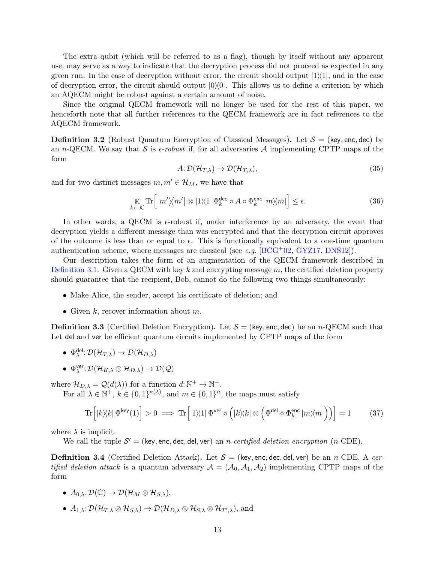The extra qubit (which will be referred to as a flag), though by itself without any apparent use, may serve as a way to indicate that the decryption process did not proceed as expected in any given run. In the case of decryption without error, the circuit should output  $|1\rangle\langle 1|$ , and in the case of decryption error, the circuit should output  $|0\rangle\langle 0|$ . This allows us to define a criterion by which an AQECM might be robust against a certain amount of noise.

Since the original QECM framework will no longer be used for the rest of this paper, we henceforth note that all further references to the QECM framework are in fact references to the AQECM framework.

**Definition 3.2** (Robust Quantum Encryption of Classical Messages). Let  $S = (key, enc, dec)$  be an n-QECM. We say that S is  $\epsilon$ -robust if, for all adversaries A implementing CPTP maps of the form

$$
A: \mathcal{D}(\mathcal{H}_{T,\lambda}) \to \mathcal{D}(\mathcal{H}_{T,\lambda}), \tag{35}
$$

and for two distinct messages  $m, m' \in \mathcal{H}_M$ , we have that

$$
\underset{k \leftarrow \mathcal{K}}{\mathbb{E}} \text{Tr} \Big[ \left| m' \right| \langle m' \right| \otimes |1 \rangle \langle 1 | \Phi_k^{\text{dec}} \circ A \circ \Phi_k^{\text{enc}} |m \rangle \langle m| \Big] \le \epsilon. \tag{36}
$$

In other words, a QECM is  $\epsilon$ -robust if, under interference by an adversary, the event that decryption yields a different message than was encrypted and that the decryption circuit approves of the outcome is less than or equal to  $\epsilon$ . This is functionally equivalent to a one-time quantum authentication scheme, where messages are classical (see e.g.  $[BCG^+02, GYZ17, DNS12]$  $[BCG^+02, GYZ17, DNS12]$  $[BCG^+02, GYZ17, DNS12]$  $[BCG^+02, GYZ17, DNS12]$  $[BCG^+02, GYZ17, DNS12]$ ).

Our description takes the form of an augmentation of the QECM framework described in [Definition 3.1.](#page-11-1) Given a QECM with key k and encrypting message  $m$ , the certified deletion property should guarantee that the recipient, Bob, cannot do the following two things simultaneously:

- Make Alice, the sender, accept his certificate of deletion; and
- Given k, recover information about  $m$ .

**Definition 3.3** (Certified Deletion Encryption). Let  $S = (key, enc, dec)$  be an n-QECM such that Let del and ver be efficient quantum circuits implemented by CPTP maps of the form

- $\bullet$   $\Phi_{\lambda}^{\mathsf{del}} \colon \mathcal{D}(\mathcal{H}_{T,\lambda}) \to \mathcal{D}(\mathcal{H}_{D,\lambda})$
- $\bullet \ \Phi^{\mathsf{ver}}_\lambda \colon \mathcal{D}(\mathcal{H}_{K,\lambda} \otimes \mathcal{H}_{D,\lambda}) \to \mathcal{D}(\mathcal{Q})$

where  $\mathcal{H}_{D,\lambda} = \mathcal{Q}(d(\lambda))$  for a function  $d: \mathbb{N}^+ \to \mathbb{N}^+$ .

For all  $\lambda \in \mathbb{N}^+$ ,  $k \in \{0,1\}^{\kappa(\lambda)}$ , and  $m \in \{0,1\}^n$ , the maps must satisfy

<span id="page-12-0"></span>
$$
\operatorname{Tr}\left[|k\rangle\langle k|\,\Phi^{\text{key}}(1)\right] > 0 \implies \operatorname{Tr}\left[|1\rangle\langle 1|\,\Phi^{\text{ver}}\circ\left(|k\rangle\langle k|\otimes\left(\Phi^{\text{del}}\circ\Phi_k^{\text{enc}}\,|m\rangle\langle m|\right)\right)\right] = 1\tag{37}
$$

where  $\lambda$  is implicit.

We call the tuple  $S' =$  (key, enc, dec, del, ver) an *n*-certified deletion encryption (*n*-CDE).

**Definition 3.4** (Certified Deletion Attack). Let  $S = (key, enc, dec, del, ver)$  be an *n*-CDE. A certified deletion attack is a quantum adversary  $A = (A_0, A_1, A_2)$  implementing CPTP maps of the form

- $A_0$   $\lambda: \mathcal{D}(\mathbb{C}) \to \mathcal{D}(\mathcal{H}_M \otimes \mathcal{H}_{S,\lambda}),$
- $A_{1,\lambda}: \mathcal{D}(\mathcal{H}_{T,\lambda} \otimes \mathcal{H}_{S,\lambda}) \to \mathcal{D}(\mathcal{H}_{D,\lambda} \otimes \mathcal{H}_{S,\lambda} \otimes \mathcal{H}_{T',\lambda}),$  and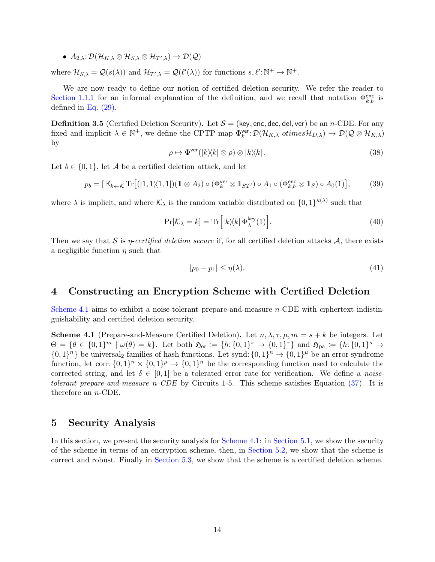•  $A_{2,\lambda}: \mathcal{D}(\mathcal{H}_{K,\lambda} \otimes \mathcal{H}_{S,\lambda} \otimes \mathcal{H}_{T',\lambda}) \to \mathcal{D}(\mathcal{Q})$ 

where  $\mathcal{H}_{S,\lambda} = \mathcal{Q}(s(\lambda))$  and  $\mathcal{H}_{T',\lambda} = \mathcal{Q}(\ell'(\lambda))$  for functions  $s, \ell' : \mathbb{N}^+ \to \mathbb{N}^+$ .

We are now ready to define our notion of certified deletion security. We refer the reader to [Section 1.1.1](#page-1-3) for an informal explanation of the definition, and we recall that notation  $\Phi_{k,b}^{\text{enc}}$  is defined in Eq.  $(29)$ .

<span id="page-13-0"></span>**Definition 3.5** (Certified Deletion Security). Let  $S =$  (key, enc, dec, del, ver) be an *n*-CDE. For any fixed and implicit  $\lambda \in \mathbb{N}^+$ , we define the CPTP map  $\Phi_k^{\text{ver}}: \mathcal{D}(\mathcal{H}_{K,\lambda} \text{ *otimes } \mathcal{H}_{D,\lambda}) \to \mathcal{D}(\mathcal{Q} \otimes \mathcal{H}_{K,\lambda})*$ by

$$
\rho \mapsto \Phi^{\text{ver}}(|k\rangle\langle k| \otimes \rho) \otimes |k\rangle\langle k| \,. \tag{38}
$$

Let  $b \in \{0,1\}$ , let A be a certified deletion attack, and let

$$
p_b = \left[ \mathbb{E}_{k \leftarrow \mathcal{K}} \operatorname{Tr} \left[ (|1, 1 \rangle \langle 1, 1|) (\mathbb{1} \otimes A_2) \circ (\Phi_k^{\text{ver}} \otimes \mathbb{1}_{ST'}) \circ A_1 \circ (\Phi_{k, b}^{\text{enc}} \otimes \mathbb{1}_S) \circ A_0(1) \right],\right. (39)
$$

where  $\lambda$  is implicit, and where  $\mathcal{K}_{\lambda}$  is the random variable distributed on  $\{0,1\}^{\kappa(\lambda)}$  such that

$$
\Pr[\mathcal{K}_{\lambda} = k] = \text{Tr}\left[|k\rangle\langle k| \Phi_{\lambda}^{\text{key}}(1)\right].\tag{40}
$$

Then we say that S is  $\eta$ -certified deletion secure if, for all certified deletion attacks A, there exists a negligible function  $\eta$  such that

<span id="page-13-4"></span>
$$
|p_0 - p_1| \le \eta(\lambda). \tag{41}
$$

# <span id="page-13-1"></span>4 Constructing an Encryption Scheme with Certified Deletion

<span id="page-13-3"></span>[Scheme 4.1](#page-13-3) aims to exhibit a noise-tolerant prepare-and-measure  $n$ -CDE with ciphertext indistinguishability and certified deletion security.

**Scheme 4.1** (Prepare-and-Measure Certified Deletion). Let  $n, \lambda, \tau, \mu, m = s + k$  be integers. Let  $\Theta = \{\theta \in \{0,1\}^m \mid \omega(\theta) = k\}.$  Let both  $\mathfrak{H}_{\text{ec}} := \{h: \{0,1\}^s \to \{0,1\}^r\}$  and  $\mathfrak{H}_{\text{pa}} := \{h: \{0,1\}^s \to \{0,1\}^s \}$  $\{0,1\}^n$  be universal<sub>2</sub> families of hash functions. Let synd:  $\{0,1\}^n \to \{0,1\}^{\mu}$  be an error syndrome function, let corr:  $\{0,1\}^n \times \{0,1\}^n \to \{0,1\}^n$  be the corresponding function used to calculate the corrected string, and let  $\delta \in [0,1]$  be a tolerated error rate for verification. We define a noisetolerant prepare-and-measure n-CDE by Circuits 1-5. This scheme satisfies Equation  $(37)$ . It is therefore an n-CDE.

# <span id="page-13-2"></span>5 Security Analysis

In this section, we present the security analysis for [Scheme 4.1:](#page-13-3) in [Section 5.1,](#page-16-0) we show the security of the scheme in terms of an encryption scheme, then, in [Section 5.2,](#page-16-1) we show that the scheme is correct and robust. Finally in [Section 5.3,](#page-17-1) we show that the scheme is a certified deletion scheme.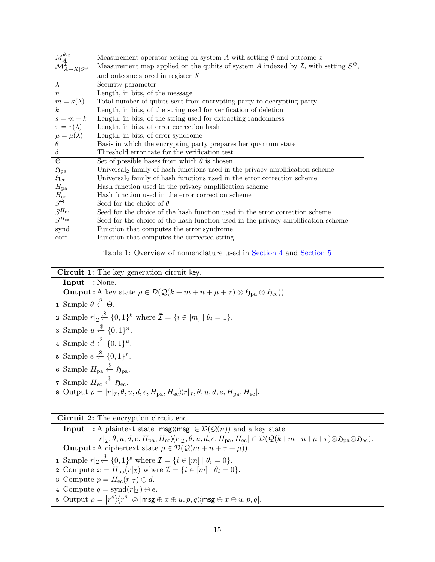| $M_A^{\theta,x}$                                      | Measurement operator acting on system A with setting $\theta$ and outcome x                             |
|-------------------------------------------------------|---------------------------------------------------------------------------------------------------------|
| $\mathcal{M}^{\mathcal{I}}_{A\rightarrow X S^\Theta}$ | Measurement map applied on the qubits of system A indexed by $\mathcal I$ , with setting $S^{\Theta}$ , |
|                                                       | and outcome stored in register $X$                                                                      |
| $\lambda$                                             | Security parameter                                                                                      |
| $\boldsymbol{n}$                                      | Length, in bits, of the message                                                                         |
| $m = \kappa(\lambda)$                                 | Total number of qubits sent from encrypting party to decrypting party                                   |
| k <sub>i</sub>                                        | Length, in bits, of the string used for verification of deletion                                        |
| $s = m - k$                                           | Length, in bits, of the string used for extracting randomness                                           |
| $\tau = \tau(\lambda)$                                | Length, in bits, of error correction hash                                                               |
| $\mu = \mu(\lambda)$                                  | Length, in bits, of error syndrome                                                                      |
|                                                       | Basis in which the encrypting party prepares her quantum state                                          |
| $\delta$                                              | Threshold error rate for the verification test                                                          |
| $\Theta$                                              | Set of possible bases from which $\theta$ is chosen                                                     |
| $\mathfrak{H}_{\mathrm{pa}}$                          | Universal <sub>2</sub> family of hash functions used in the privacy amplification scheme                |
| $\mathfrak{H}_{\mathrm{ec}}$                          | Universal <sub>2</sub> family of hash functions used in the error correction scheme                     |
| $H_{\rm pa}$                                          | Hash function used in the privacy amplification scheme                                                  |
| $H_{\rm ec}$                                          | Hash function used in the error correction scheme                                                       |
| $S^{\Theta}$                                          | Seed for the choice of $\theta$                                                                         |
| $S^{H_{\mathrm{pa}}}$                                 | Seed for the choice of the hash function used in the error correction scheme                            |
| $S^{H_{\rm ec}}$                                      | Seed for the choice of the hash function used in the privacy amplification scheme                       |
| synd                                                  | Function that computes the error syndrome                                                               |
| corr                                                  | Function that computes the corrected string                                                             |

Table 1: Overview of nomenclature used in [Section 4](#page-13-1) and [Section 5](#page-13-2)

Circuit 1: The key generation circuit key.

Input : None. **Output**: A key state  $\rho \in \mathcal{D}(\mathcal{Q}(k+m+n+\mu+\tau) \otimes \mathfrak{H}_{\text{pa}} \otimes \mathfrak{H}_{\text{ec}})).$ **1** Sample  $\theta \overset{\$}{\leftarrow} \Theta$ . 2 Sample  $r|_{\bar{\mathcal{I}}} \stackrel{\$}{\leftarrow} \{0,1\}^k$  where  $\bar{\mathcal{I}} = \{i \in [m] \mid \theta_i = 1\}.$ **3** Sample  $u \overset{\$}{\leftarrow} \{0,1\}^n$ . 4 Sample  $d \xleftarrow{\$} \{0,1\}^{\mu}$ . 5 Sample  $e \stackrel{\$}{\leftarrow} \{0,1\}^{\tau}$ . 6 Sample  $H_{\text{pa}} \overset{\$}{\leftarrow} \mathfrak{H}_{\text{pa}}.$ 7 Sample  $H_{\text{ec}} \overset{\$}{\leftarrow} \mathfrak{H}_{\text{ec}}$ . 8 Output  $\rho = |r|_{\bar{\mathcal{I}}}, \theta, u, d, e, H_{\text{pa}}, H_{\text{ec}}\rangle\langle r|_{\bar{\mathcal{I}}}, \theta, u, d, e, H_{\text{pa}}, H_{\text{ec}}|.$ 

# Circuit 2: The encryption circuit enc.

**Input** : A plaintext state  $|msg\rangle$ (msg $| \in \mathcal{D}(\mathcal{Q}(n))$  and a key state  $|r|_{\bar{\mathcal{I}}}, \theta, u, d, e, H_{\text{pa}}, H_{\text{ec}}\rangle\langle r|_{\bar{\mathcal{I}}}, \theta, u, d, e, H_{\text{pa}}, H_{\text{ec}}| \in \mathcal{D}(\mathcal{Q}(k+m+n+\mu+\tau)\otimes\mathfrak{H}_{\text{pa}}\otimes\mathfrak{H}_{\text{ec}}).$ **Output**: A ciphertext state  $\rho \in \mathcal{D}(\mathcal{Q}(m + n + \tau + \mu)).$ **1** Sample  $r|_{\mathcal{I}} \stackrel{\$}{\leftarrow} \{0,1\}^s$  where  $\mathcal{I} = \{i \in [m] \mid \theta_i = 0\}.$ 2 Compute  $x = H_{pa}(r|\tau)$  where  $\mathcal{I} = \{i \in [m] \mid \theta_i = 0\}.$ 3 Compute  $p = H_{\text{ec}}(r|_{\mathcal{I}}) \oplus d$ . 4 Compute  $q = \text{synd}(r|_{\mathcal{I}}) \oplus e$ . 5 Output  $\rho = \left| r^{\theta} \bigtimes r^{\theta} \right| \otimes \left| \mathsf{msg} \oplus x \oplus u, p, q \bigtimes \mathsf{msg} \oplus x \oplus u, p, q \right|.$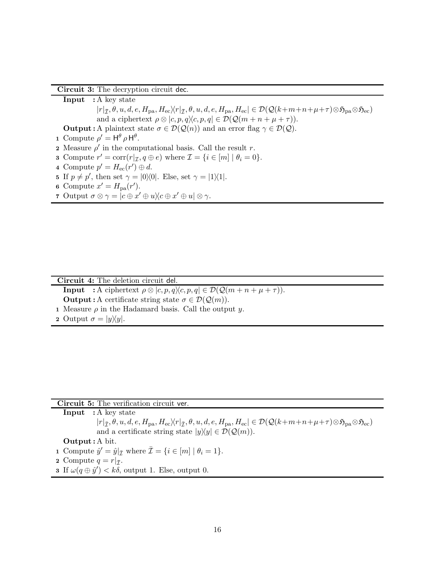Circuit 3: The decryption circuit dec.

Input : A key state  $|r|_{\bar{\tau}}, \theta, u, d, e, H_{\text{pa}}, H_{\text{ec}}\rangle\langle r|_{\bar{\tau}}, \theta, u, d, e, H_{\text{pa}}, H_{\text{ec}}| \in \mathcal{D}(\mathcal{Q}(k+m+n+\mu+\tau)\otimes\mathfrak{H}_{\text{pa}}\otimes\mathfrak{H}_{\text{ec}})$ and a ciphertext  $\rho \otimes |c, p, q \rangle \langle c, p, q | \in \mathcal{D}(\mathcal{Q}(m + n + \mu + \tau)).$ **Output**: A plaintext state  $\sigma \in \mathcal{D}(\mathcal{Q}(n))$  and an error flag  $\gamma \in \mathcal{D}(\mathcal{Q})$ . 1 Compute  $\rho' = H^{\theta} \rho H^{\theta}$ . **2** Measure  $\rho'$  in the computational basis. Call the result r. 3 Compute  $r' = \text{corr}(r | \mathcal{I}, q \oplus e)$  where  $\mathcal{I} = \{i \in [m] \mid \theta_i = 0\}.$ 4 Compute  $p' = H_{\text{ec}}(r') \oplus d$ . 5 If  $p \neq p'$ , then set  $\gamma = |0\rangle\langle 0|$ . Else, set  $\gamma = |1\rangle\langle 1|$ . 6 Compute  $x' = H_{\text{pa}}(r')$ . 7 Output  $\sigma \otimes \gamma = |c \oplus x' \oplus u \rangle \langle c \oplus x' \oplus u | \otimes \gamma$ .

| Circuit 4: The deletion circuit del.                                                                                      |  |
|---------------------------------------------------------------------------------------------------------------------------|--|
| <b>Input</b> : A ciphertext $\rho \otimes  c, p, q \rangle \langle c, p, q   \in \mathcal{D}(\mathcal{Q}(m+n+\mu+\tau)).$ |  |
| <b>Output</b> : A certificate string state $\sigma \in \mathcal{D}(\mathcal{Q}(m))$ .                                     |  |
| $\mathbf{M}$ . The $\mathbf{M}$ is $\mathbf{M}$                                                                           |  |

- 1 Measure  $\rho$  in the Hadamard basis. Call the output y.
- 2 Output  $\sigma = |y\rangle\langle y|$ .

### Circuit 5: The verification circuit ver.

Input : A key state  $|r|_{\bar{\mathcal{I}}}, \theta, u, d, e, H_{\text{pa}}, H_{\text{ec}}\rangle\langle r|_{\bar{\mathcal{I}}}, \theta, u, d, e, H_{\text{pa}}, H_{\text{ec}}| \in \mathcal{D}(\mathcal{Q}(k+m+n+\mu+\tau)\otimes\mathfrak{H}_{\text{pa}}\otimes\mathfrak{H}_{\text{ec}})$ and a certificate string state  $|y\rangle\langle y| \in \mathcal{D}(\mathcal{Q}(m)).$ Output : A bit. 1 Compute  $\hat{y}' = \hat{y}|_{\bar{\mathcal{I}}}$  where  $\bar{\mathcal{I}} = \{i \in [m] \mid \theta_i = 1\}.$ 2 Compute  $q = r|_{\bar{\mathcal{I}}}$ . **3** If  $\omega(q \oplus \hat{y}') < k\delta$ , output 1. Else, output 0.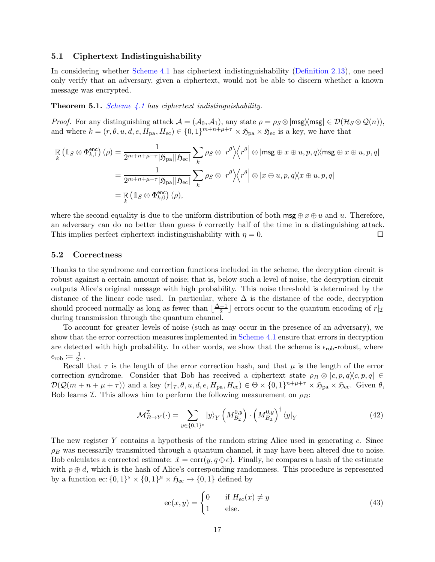### <span id="page-16-0"></span>5.1 Ciphertext Indistinguishability

In considering whether [Scheme 4.1](#page-13-3) has ciphertext indistinguishability [\(Definition 2.13\)](#page-11-2), one need only verify that an adversary, given a ciphertext, would not be able to discern whether a known message was encrypted.

**Theorem 5.1.** [Scheme 4.1](#page-13-3) has ciphertext indistinguishability.

*Proof.* For any distinguishing attack  $A = (A_0, A_1)$ , any state  $\rho = \rho_S \otimes |\text{msg}\rangle$ (msg $| \in \mathcal{D}(\mathcal{H}_S \otimes \mathcal{Q}(n))$ ), and where  $k = (r, \theta, u, d, e, H_{pa}, H_{ec}) \in \{0, 1\}^{m+n+\mu+\tau} \times \mathfrak{H}_{pa} \times \mathfrak{H}_{ec}$  is a key, we have that

$$
\mathbb{E}\left(\mathbb{1}_{S}\otimes\Phi_{k,1}^{\text{enc}}\right)(\rho) = \frac{1}{2^{m+n+\mu+\tau}|\mathfrak{H}_{\text{pa}}||\mathfrak{H}_{\text{ec}}|} \sum_{k} \rho_{S} \otimes \left|r^{\theta}\right\rangle\!\!\left\langle r^{\theta}\right| \otimes |\text{msg} \oplus x \oplus u, p, q\rangle\!\!\langle \text{msg} \oplus x \oplus u, p, q|
$$

$$
= \frac{1}{2^{m+n+\mu+\tau}|\mathfrak{H}_{\text{pa}}||\mathfrak{H}_{\text{ec}}|} \sum_{k} \rho_{S} \otimes \left|r^{\theta}\right\rangle\!\!\left\langle r^{\theta}\right| \otimes |x \oplus u, p, q\rangle\!\!\langle x \oplus u, p, q|
$$

$$
= \mathbb{E}\left(\mathbb{1}_{S} \otimes \Phi_{k,0}^{\text{enc}}\right)(\rho),
$$

where the second equality is due to the uniform distribution of both  $\text{msg } \oplus x \oplus u$  and u. Therefore, an adversary can do no better than guess b correctly half of the time in a distinguishing attack. This implies perfect ciphertext indistinguishability with  $\eta = 0$ .  $\Box$ 

#### <span id="page-16-1"></span>5.2 Correctness

Thanks to the syndrome and correction functions included in the scheme, the decryption circuit is robust against a certain amount of noise; that is, below such a level of noise, the decryption circuit outputs Alice's original message with high probability. This noise threshold is determined by the distance of the linear code used. In particular, where  $\Delta$  is the distance of the code, decryption should proceed normally as long as fewer than  $\lfloor \frac{\Delta-1}{2} \rfloor$  $\frac{-1}{2}$  errors occur to the quantum encoding of  $r|_{\mathcal{I}}$ during transmission through the quantum channel.

To account for greater levels of noise (such as may occur in the presence of an adversary), we show that the error correction measures implemented in [Scheme 4.1](#page-13-3) ensure that errors in decryption are detected with high probability. In other words, we show that the scheme is  $\epsilon_{\rm rob}$ -robust, where  $\epsilon_{\text{rob}} \coloneqq \frac{1}{2^{\tau}}$  $\frac{1}{2^{\tau}}$ .

Recall that  $\tau$  is the length of the error correction hash, and that  $\mu$  is the length of the error correction syndrome. Consider that Bob has received a ciphertext state  $\rho_B \otimes |c, p, q\rangle \langle c, p, q| \in$  $\mathcal{D}(\mathcal{Q}(m+n+\mu+\tau))$  and a key  $(r|_{\bar{\mathcal{I}}}, \theta, u, d, e, H_{\text{pa}}, H_{\text{ec}}) \in \Theta \times \{0, 1\}^{n+\mu+\tau} \times \mathfrak{H}_{\text{pa}} \times \mathfrak{H}_{\text{ec}}.$  Given  $\theta$ , Bob learns I. This allows him to perform the following measurement on  $\rho_B$ :

$$
\mathcal{M}_{B \to Y}^{\mathcal{I}}(\cdot) = \sum_{y \in \{0,1\}^s} |y\rangle_Y \left(M_{B_{\mathcal{I}}}^{0,y}\right) \cdot \left(M_{B_{\mathcal{I}}}^{0,y}\right)^{\dagger} \langle y|_Y \tag{42}
$$

The new register Y contains a hypothesis of the random string Alice used in generating  $c$ . Since  $\rho_B$  was necessarily transmitted through a quantum channel, it may have been altered due to noise. Bob calculates a corrected estimate:  $\hat{x} = \text{corr}(y, q \oplus e)$ . Finally, he compares a hash of the estimate with  $p \oplus d$ , which is the hash of Alice's corresponding randomness. This procedure is represented by a function ec:  $\{0,1\}^s \times \{0,1\}^{\mu} \times \mathfrak{H}_{\text{ec}} \to \{0,1\}$  defined by

$$
ec(x, y) = \begin{cases} 0 & \text{if } H_{ec}(x) \neq y \\ 1 & \text{else.} \end{cases}
$$
 (43)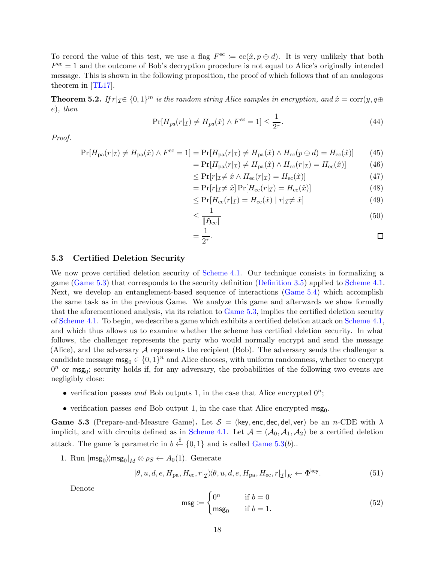To record the value of this test, we use a flag  $F^{\text{ec}} := \text{ec}(\hat{x}, p \oplus d)$ . It is very unlikely that both  $F<sup>ec</sup> = 1$  and the outcome of Bob's decryption procedure is not equal to Alice's originally intended message. This is shown in the following proposition, the proof of which follows that of an analogous theorem in [\[TL17\]](#page-27-5).

**Theorem 5.2.** If  $r|_{\mathcal{I}} \in \{0,1\}^m$  is the random string Alice samples in encryption, and  $\hat{x} = \text{corr}(y, q \oplus$ e), then

$$
\Pr[H_{pa}(r|_{\mathcal{I}}) \neq H_{pa}(\hat{x}) \land F^{ec} = 1] \leq \frac{1}{2^{\tau}}.
$$
\n(44)

Proof.

$$
\Pr[H_{\text{pa}}(r|_{\mathcal{I}}) \neq H_{\text{pa}}(\hat{x}) \land F^{\text{ec}} = 1] = \Pr[H_{\text{pa}}(r|_{\mathcal{I}}) \neq H_{\text{pa}}(\hat{x}) \land H_{\text{ec}}(p \oplus d) = H_{\text{ec}}(\hat{x})]
$$
(45)

$$
= \Pr[H_{\text{pa}}(r|_{\mathcal{I}}) \neq H_{\text{pa}}(\hat{x}) \land H_{\text{ec}}(r|_{\mathcal{I}}) = H_{\text{ec}}(\hat{x})]
$$
(46)

$$
\leq \Pr[r|\mathbf{x} \neq \hat{\mathbf{x}} \land H_{\text{ec}}(r|\mathbf{x}) = H_{\text{ec}}(\hat{\mathbf{x}})] \tag{47}
$$

$$
= \Pr[r|\mathbf{x} \neq \hat{x}] \Pr[H_{\text{ec}}(r|\mathbf{x}) = H_{\text{ec}}(\hat{x})]
$$
\n(48)

$$
\leq \Pr[H_{\rm ec}(r|_{\mathcal{I}}) = H_{\rm ec}(\hat{x}) \mid r|_{\mathcal{I}} \neq \hat{x}] \tag{49}
$$

$$
\leq \frac{1}{\|\mathfrak{H}_{ec}\|}\tag{50}
$$

$$
=\frac{1}{2^{\tau}}.
$$

#### <span id="page-17-1"></span>5.3 Certified Deletion Security

We now prove certified deletion security of [Scheme 4.1.](#page-13-3) Our technique consists in formalizing a game [\(Game 5.3\)](#page-17-0) that corresponds to the security definition [\(Definition 3.5\)](#page-13-0) applied to [Scheme 4.1.](#page-13-3) Next, we develop an entanglement-based sequence of interactions [\(Game 5.4\)](#page-18-0) which accomplish the same task as in the previous Game. We analyze this game and afterwards we show formally that the aforementioned analysis, via its relation to [Game 5.3,](#page-17-0) implies the certified deletion security of [Scheme 4.1.](#page-13-3) To begin, we describe a game which exhibits a certified deletion attack on [Scheme 4.1,](#page-13-3) and which thus allows us to examine whether the scheme has certified deletion security. In what follows, the challenger represents the party who would normally encrypt and send the message (Alice), and the adversary  $A$  represents the recipient (Bob). The adversary sends the challenger a candidate message  $\text{msg}_0 \in \{0,1\}^n$  and Alice chooses, with uniform randomness, whether to encrypt  $0<sup>n</sup>$  or msg<sub>0</sub>; security holds if, for any adversary, the probabilities of the following two events are negligibly close:

- verification passes and Bob outputs 1, in the case that Alice encrypted  $0^n$ ;
- verification passes and Bob output 1, in the case that Alice encrypted  $msg_0$ .

<span id="page-17-0"></span>Game 5.3 (Prepare-and-Measure Game). Let  $S = (key, enc, dec, del, ver)$  be an n-CDE with  $\lambda$ implicit, and with circuits defined as in [Scheme 4.1.](#page-13-3) Let  $A = (A_0, A_1, A_2)$  be a certified deletion attack. The game is parametric in  $b \stackrel{\$}{\leftarrow} \{0,1\}$  and is called [Game 5.3\(](#page-17-0)*b*)..

1. Run  $|\mathsf{msg}_0\rangle\langle\mathsf{msg}_0|_M \otimes \rho_S \leftarrow A_0(1)$ . Generate

$$
|\theta, u, d, e, H_{\text{pa}}, H_{\text{ec}}, r|_{\bar{\mathcal{I}}}\rangle\langle\theta, u, d, e, H_{\text{pa}}, H_{\text{ec}}, r|_{\bar{\mathcal{I}}}\rangle_K \leftarrow \Phi^{\text{key}}.
$$
 (51)

Denote

$$
\mathsf{msg} := \begin{cases} 0^n & \text{if } b = 0 \\ \mathsf{msg}_0 & \text{if } b = 1. \end{cases} \tag{52}
$$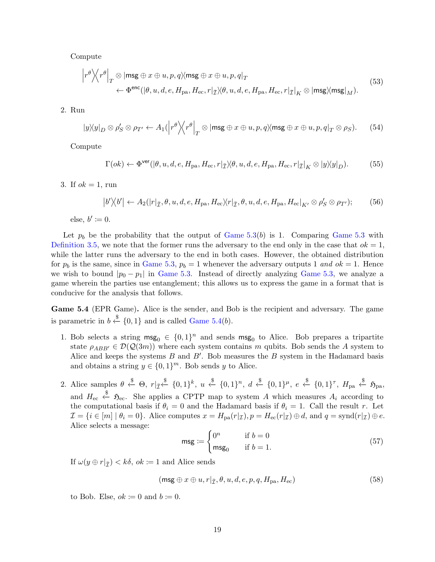Compute

$$
\left|r^{\theta}\right\rangle\!\!\left\langle r^{\theta}\right|_{T}\otimes\left|\operatorname{msg}\oplus x\oplus u,p,q\right\rangle\!\!\left\langle\operatorname{msg}\oplus x\oplus u,p,q\right|_{T} \leftarrow \Phi^{\text{enc}}(\left|\theta,u,d,e,H_{\text{pa}},H_{\text{ec}},r\right|_{\bar{\mathcal{I}}})\!\!\left\langle \theta,u,d,e,H_{\text{pa}},H_{\text{ec}},r\right|_{\bar{\mathcal{I}}}\right|_{K}\otimes\left|\operatorname{msg}\right\rangle\!\!\left\langle\operatorname{msg}|_{M}\right\rangle. \tag{53}
$$

2. Run

$$
|y\rangle\langle y|_D \otimes \rho'_S \otimes \rho_{T'} \leftarrow A_1(|r^{\theta}\rangle\langle r^{\theta}|_T \otimes |\text{msg} \oplus x \oplus u, p, q\rangle\langle \text{msg} \oplus x \oplus u, p, q|_T \otimes \rho_S). \tag{54}
$$

Compute

$$
\Gamma(\text{ok}) \leftarrow \Phi^{\text{ver}}(|\theta, u, d, e, H_{\text{pa}}, H_{\text{ec}}, r|_{\bar{\mathcal{I}}}\rangle\langle\theta, u, d, e, H_{\text{pa}}, H_{\text{ec}}, r|_{\bar{\mathcal{I}}}\rangle_K \otimes |y\rangle\langle y|_D). \tag{55}
$$

3. If  $ok = 1$ , run

$$
|b'\rangle\langle b'| \leftarrow A_2(|r|_{\bar{\mathcal{I}}}, \theta, u, d, e, H_{\text{pa}}, H_{\text{ec}}\rangle\langle r|_{\bar{\mathcal{I}}}, \theta, u, d, e, H_{\text{pa}}, H_{\text{ec}}|_{K'} \otimes \rho_S' \otimes \rho_{T'}); \tag{56}
$$

else,  $b' \coloneqq 0$ .

Let  $p_b$  be the probability that the output of [Game 5.3\(](#page-17-0)b) is 1. Comparing [Game 5.3](#page-17-0) with [Definition 3.5,](#page-13-0) we note that the former runs the adversary to the end only in the case that  $ok = 1$ , while the latter runs the adversary to the end in both cases. However, the obtained distribution for  $p_b$  is the same, since in [Game 5.3,](#page-17-0)  $p_b = 1$  whenever the adversary outputs 1 and  $ok = 1$ . Hence we wish to bound  $|p_0 - p_1|$  in [Game 5.3.](#page-17-0) Instead of directly analyzing [Game 5.3,](#page-17-0) we analyze a game wherein the parties use entanglement; this allows us to express the game in a format that is conducive for the analysis that follows.

<span id="page-18-0"></span>Game 5.4 (EPR Game). Alice is the sender, and Bob is the recipient and adversary. The game is parametric in  $b \stackrel{\$}{\leftarrow} \{0, 1\}$  and is called [Game 5.4\(](#page-18-0)*b*).

- <span id="page-18-1"></span>1. Bob selects a string  $\text{msg}_0 \in \{0,1\}^n$  and sends  $\text{msg}_0$  to Alice. Bob prepares a tripartite state  $\rho_{ABB'} \in \mathcal{D}(\mathcal{Q}(3m))$  where each system contains m qubits. Bob sends the A system to Alice and keeps the systems  $B$  and  $B'$ . Bob measures the  $B$  system in the Hadamard basis and obtains a string  $y \in \{0, 1\}^m$ . Bob sends y to Alice.
- <span id="page-18-2"></span>2. Alice samples  $\theta \stackrel{\$}{\leftarrow} \Theta$ ,  $r|_{\bar{\mathcal{I}}} \stackrel{\$}{\leftarrow} \{0,1\}^k$ ,  $u \stackrel{\$}{\leftarrow} \{0,1\}^n$ ,  $d \stackrel{\$}{\leftarrow} \{0,1\}^{\mu}$ ,  $e \stackrel{\$}{\leftarrow} \{0,1\}^{\tau}$ ,  $H_{\text{pa}} \stackrel{\$}{\leftarrow} \mathfrak{H}_{\text{pa}}$ and  $H_{ec} \stackrel{\$}{\leftarrow} \mathfrak{H}_{ec}$ . She applies a CPTP map to system A which measures  $A_i$  according to the computational basis if  $\theta_i = 0$  and the Hadamard basis if  $\theta_i = 1$ . Call the result r. Let  $\mathcal{I} = \{i \in [m] \mid \theta_i = 0\}.$  Alice computes  $x = H_{pa}(r|\mathcal{I}), p = H_{ec}(r|\mathcal{I}) \oplus d$ , and  $q = \text{synd}(r|\mathcal{I}) \oplus e$ . Alice selects a message:

$$
\mathsf{msg} \coloneqq \begin{cases} 0^n & \text{if } b = 0 \\ \mathsf{msg}_0 & \text{if } b = 1. \end{cases} \tag{57}
$$

If  $\omega(y \oplus r |_{\overline{I}}) < k\delta$ ,  $ok \coloneqq 1$  and Alice sends

$$
(\text{msg } \oplus x \oplus u, r|_{\bar{\mathcal{I}}}, \theta, u, d, e, p, q, H_{\text{pa}}, H_{\text{ec}})
$$
\n
$$
(58)
$$

to Bob. Else,  $ok := 0$  and  $b := 0$ .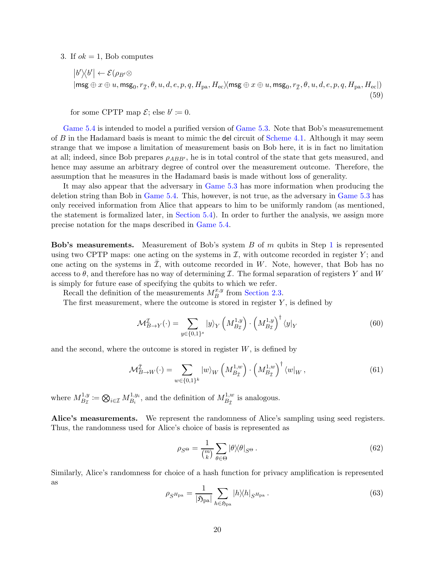3. If  $ok = 1$ , Bob computes

$$
|b'\rangle\langle b'| \leftarrow \mathcal{E}(\rho_{B'} \otimes
$$
  

$$
|\text{msg} \oplus x \oplus u, \text{msg}_0, r_{\bar{\mathcal{I}}}, \theta, u, d, e, p, q, H_{\text{pa}}, H_{\text{ec}}\rangle\langle \text{msg} \oplus x \oplus u, \text{msg}_0, r_{\bar{\mathcal{I}}}, \theta, u, d, e, p, q, H_{\text{pa}}, H_{\text{ec}}|)
$$
\n(59)

for some CPTP map  $\mathcal{E}$ ; else  $b' \coloneqq 0$ .

[Game 5.4](#page-18-0) is intended to model a purified version of [Game 5.3.](#page-17-0) Note that Bob's measuremement of  $B$  in the Hadamard basis is meant to mimic the del circuit of [Scheme 4.1.](#page-13-3) Although it may seem strange that we impose a limitation of measurement basis on Bob here, it is in fact no limitation at all; indeed, since Bob prepares  $\rho_{ABB'}$ , he is in total control of the state that gets measured, and hence may assume an arbitrary degree of control over the measurement outcome. Therefore, the assumption that he measures in the Hadamard basis is made without loss of generality.

It may also appear that the adversary in [Game 5.3](#page-17-0) has more information when producing the deletion string than Bob in [Game 5.4.](#page-18-0) This, however, is not true, as the adversary in [Game 5.3](#page-17-0) has only received information from Alice that appears to him to be uniformly random (as mentioned, the statement is formalized later, in [Section 5.4\)](#page-23-0). In order to further the analysis, we assign more precise notation for the maps described in [Game 5.4.](#page-18-0)

Bob's measurements. Measurement of Bob's system B of m qubits in Step [1](#page-18-1) is represented using two CPTP maps: one acting on the systems in  $\mathcal{I}$ , with outcome recorded in register Y; and one acting on the systems in  $\mathcal I$ , with outcome recorded in W. Note, however, that Bob has no access to  $\theta$ , and therefore has no way of determining  $\mathcal I$ . The formal separation of registers Y and W is simply for future ease of specifying the qubits to which we refer.

Recall the definition of the measurements  $M_B^{x,y}$  from [Section 2.3.](#page-7-0)

The first measurement, where the outcome is stored in register  $Y$ , is defined by

$$
\mathcal{M}_{B \to Y}^{\mathcal{I}}(\cdot) = \sum_{y \in \{0,1\}^s} |y\rangle_Y \left(M_{B_{\mathcal{I}}}^{1,y}\right) \cdot \left(M_{B_{\mathcal{I}}}^{1,y}\right)^{\dagger} \langle y|_Y \tag{60}
$$

and the second, where the outcome is stored in register  $W$ , is defined by

$$
\mathcal{M}_{B \to W}^{\bar{\mathcal{I}}}(\cdot) = \sum_{w \in \{0,1\}^k} |w\rangle_W \left(M_{B_{\bar{\mathcal{I}}}}^{1,w}\right) \cdot \left(M_{B_{\bar{\mathcal{I}}}}^{1,w}\right)^{\dagger} \langle w|_W, \tag{61}
$$

where  $M_{B_{\mathcal{I}}}^{1,y} := \bigotimes_{i \in \mathcal{I}} M_{B_i}^{1,y_i}$ , and the definition of  $M_{B_{\bar{\mathcal{I}}}}^{1,w}$  is analogous.

Alice's measurements. We represent the randomness of Alice's sampling using seed registers. Thus, the randomness used for Alice's choice of basis is represented as

$$
\rho_{S^{\Theta}} = \frac{1}{\binom{m}{k}} \sum_{\theta \in \Theta} |\theta\rangle\langle \theta|_{S^{\Theta}}.
$$
\n(62)

Similarly, Alice's randomness for choice of a hash function for privacy amplification is represented as

$$
\rho_{S^{H_{\text{pa}}}} = \frac{1}{|\mathfrak{H}_{\text{pa}}|} \sum_{h \in \mathfrak{H}_{\text{pa}}} |h\rangle\langle h|_{S^{H_{\text{pa}}}}. \tag{63}
$$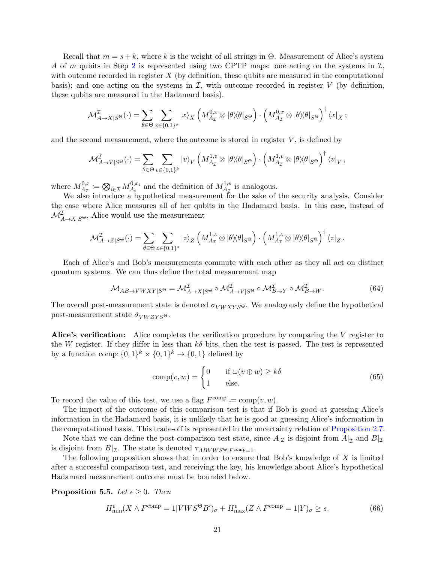Recall that  $m = s + k$ , where k is the weight of all strings in  $\Theta$ . Measurement of Alice's system A of m qubits in Step [2](#page-18-2) is represented using two CPTP maps: one acting on the systems in  $\mathcal{I}$ , with outcome recorded in register  $X$  (by definition, these qubits are measured in the computational basis); and one acting on the systems in  $\mathcal{I}$ , with outcome recorded in register V (by definition, these qubits are measured in the Hadamard basis).

$$
\mathcal{M}_{A\to X|S^{\Theta}}^{\mathcal{I}}(\cdot) = \sum_{\theta\in\Theta}\sum_{x\in\{0,1\}^{s}}\ket{x}_{X}\left(M_{A_{\mathcal{I}}}^{0,x}\otimes\ket{\theta}\!\!\bra{\theta}_{S^{\Theta}}\right)\cdot\left(M_{A_{\mathcal{I}}}^{0,x}\otimes\ket{\theta}\!\!\bra{\theta}_{S^{\Theta}}\right)^{\dagger}\bra{x}_{X};
$$

and the second measurement, where the outcome is stored in register  $V$ , is defined by

$$
\mathcal{M}_{A \to V \mid S^{\Theta}}^{\bar{\mathcal{I}}}(\cdot) = \sum_{\theta \in \Theta} \sum_{v \in \{0,1\}^k} |v\rangle_V \left( M_{A_{\bar{\mathcal{I}}}}^{1,v} \otimes |\theta\rangle\langle\theta|_{S^{\Theta}} \right) \cdot \left( M_{A_{\bar{\mathcal{I}}}}^{1,v} \otimes |\theta\rangle\langle\theta|_{S^{\Theta}} \right)^{\dagger} \langle v|_V,
$$

where  $M_{A_{\tau}}^{0,x}$  $A_1^{0,x} \coloneqq \bigotimes_{i \in \mathcal{I}} M_{A_i}^{0,x_i}$  $A_i^{0,x_i}$  and the definition of  $M^{1,v}_{A_{\bar{\mathcal{I}}}}$  $A_{\bar{\mathcal{I}}}^{1,v}$  is analogous.

We also introduce a hypothetical measurement for the sake of the security analysis. Consider the case where Alice measures all of her qubits in the Hadamard basis. In this case, instead of  $\mathcal{M}_{A\rightarrow X|S^{\Theta}}^{\mathcal{I}}$ , Alice would use the measurement

$$
\mathcal{M}^{\mathcal{I}}_{A \to Z \mid S^{\Theta}}(\cdot) = \sum_{\theta \in \Theta} \sum_{z \in \{0,1\}^s} |z\rangle_Z \left( M_{A_\mathcal{I}}^{1,z} \otimes |\theta\rangle\langle\theta|_{S^{\Theta}} \right) \cdot \left( M_{A_\mathcal{I}}^{1,z} \otimes |\theta\rangle\langle\theta|_{S^{\Theta}} \right)^{\dagger} \langle z|_Z
$$

Each of Alice's and Bob's measurements commute with each other as they all act on distinct quantum systems. We can thus define the total measurement map

$$
\mathcal{M}_{AB \to VWXY|S^{\Theta}} = \mathcal{M}_{A \to X|S^{\Theta}}^{\mathcal{I}} \circ \mathcal{M}_{A \to V|S^{\Theta}}^{\bar{\mathcal{I}}} \circ \mathcal{M}_{B \to Y}^{\mathcal{I}} \circ \mathcal{M}_{B \to W}^{\bar{\mathcal{I}}}.
$$
(64)

The overall post-measurement state is denoted  $\sigma_{VWXYS}$ . We analogously define the hypothetical post-measurement state  $\hat{\sigma}_{VWZYS\Theta}$ .

Alice's verification: Alice completes the verification procedure by comparing the  $V$  register to the W register. If they differ in less than  $k\delta$  bits, then the test is passed. The test is represented by a function comp:  $\{0,1\}^k \times \{0,1\}^k \to \{0,1\}$  defined by

comp
$$
(v, w)
$$
 = 
$$
\begin{cases} 0 & \text{if } \omega(v \oplus w) \ge k\delta \\ 1 & \text{else.} \end{cases}
$$
 (65)

.

To record the value of this test, we use a flag  $F^{\text{comp}} \coloneqq \text{comp}(v, w)$ .

The import of the outcome of this comparison test is that if Bob is good at guessing Alice's information in the Hadamard basis, it is unlikely that he is good at guessing Alice's information in the computational basis. This trade-off is represented in the uncertainty relation of [Proposition 2.7.](#page-9-0)

Note that we can define the post-comparison test state, since  $A|_{\mathcal{I}}$  is disjoint from  $A|_{\bar{\mathcal{I}}}$  and  $B|_{\mathcal{I}}$ is disjoint from  $B|_{\bar{\mathcal{I}}}$ . The state is denoted  $\tau_{ABVWS^{\Theta}|F^{\text{comp}}=1}$ .

The following proposition shows that in order to ensure that Bob's knowledge of X is limited after a successful comparison test, and receiving the key, his knowledge about Alice's hypothetical Hadamard measurement outcome must be bounded below.

<span id="page-20-0"></span>**Proposition 5.5.** Let  $\epsilon \geq 0$ . Then

$$
H_{\min}^{\epsilon}(X \wedge F^{\text{comp}} = 1|VWS^{\Theta}B')_{\sigma} + H_{\max}^{\epsilon}(Z \wedge F^{\text{comp}} = 1|Y)_{\sigma} \ge s. \tag{66}
$$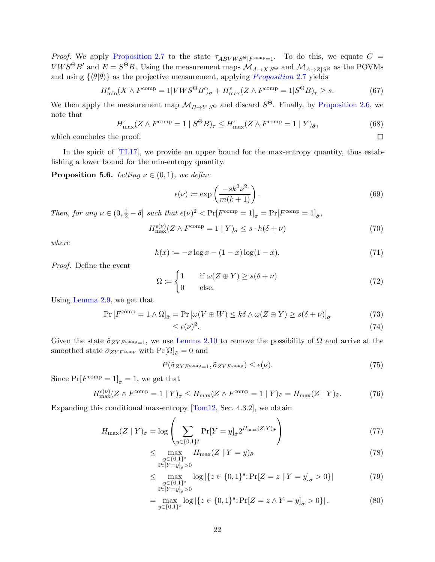*Proof.* We apply [Proposition 2.7](#page-9-0) to the state  $\tau_{ABVWS^{\Theta}|F^{\text{comp}}=1}$ . To do this, we equate  $C =$  $VWS^{\Theta}B'$  and  $E = S^{\Theta}B$ . Using the measurement maps  $\mathcal{M}_{A\rightarrow X|S^{\Theta}}$  and  $\mathcal{M}_{A\rightarrow Z|S^{\Theta}}$  as the POVMs and using  $\{\langle \theta | \theta \rangle\}$  as the projective measurement, applying *Proposition* 2.7 yields

$$
H_{\min}^{\epsilon}(X \wedge F^{\text{comp}} = 1|VWS^{\Theta}B')_{\sigma} + H_{\max}^{\epsilon}(Z \wedge F^{\text{comp}} = 1|S^{\Theta}B)_{\tau} \ge s. \tag{67}
$$

We then apply the measurement map  $\mathcal{M}_{B\to Y|S^{\Theta}}$  and discard  $S^{\Theta}$ . Finally, by [Proposition 2.6,](#page-9-1) we note that

$$
H_{\text{max}}^{\epsilon}(Z \wedge F^{\text{comp}} = 1 \mid S^{\Theta}B)_{\tau} \le H_{\text{max}}^{\epsilon}(Z \wedge F^{\text{comp}} = 1 \mid Y)_{\hat{\sigma}},\tag{68}
$$

which concludes the proof.

<span id="page-21-1"></span>In the spirit of  $[TL17]$ , we provide an upper bound for the max-entropy quantity, thus establishing a lower bound for the min-entropy quantity.

**Proposition 5.6.** Letting  $\nu \in (0,1)$ , we define

<span id="page-21-0"></span>
$$
\epsilon(\nu) := \exp\left(\frac{-sk^2\nu^2}{m(k+1)}\right). \tag{69}
$$

 $\Box$ 

Then, for any  $\nu \in (0, \frac{1}{2} - \delta]$  such that  $\epsilon(\nu)^2 < \Pr[F^{\text{comp}} = 1]_{\sigma} = \Pr[F^{\text{comp}} = 1]_{\hat{\sigma}}$ ,

$$
H_{\max}^{\epsilon(\nu)}(Z \wedge F^{\text{comp}} = 1 \mid Y)_{\hat{\sigma}} \le s \cdot h(\delta + \nu) \tag{70}
$$

where

$$
h(x) := -x \log x - (1 - x) \log(1 - x). \tag{71}
$$

Proof. Define the event

$$
\Omega := \begin{cases} 1 & \text{if } \omega(Z \oplus Y) \ge s(\delta + \nu) \\ 0 & \text{else.} \end{cases}
$$
 (72)

Using [Lemma 2.9,](#page-10-1) we get that

$$
\Pr\left[F^{\text{comp}} = 1 \land \Omega\right]_{\hat{\sigma}} = \Pr\left[\omega(V \oplus W) \le k\delta \land \omega(Z \oplus Y) \ge s(\delta + \nu)\right]_{\sigma} \tag{73}
$$

$$
\leq \epsilon(\nu)^2. \tag{74}
$$

Given the state  $\hat{\sigma}_{ZYF^{comp}=1}$ , we use [Lemma 2.10](#page-10-2) to remove the possibility of  $\Omega$  and arrive at the smoothed state  $\tilde{\sigma}_{ZYF}$ comp with  $\Pr[\Omega]_{\tilde{\sigma}} = 0$  and

$$
P(\hat{\sigma}_{ZYF^{\text{comp}}=1}, \tilde{\sigma}_{ZYF^{\text{comp}}}) \le \epsilon(\nu). \tag{75}
$$

Since  $Pr[F^{\text{comp}} = 1]_{\tilde{\sigma}} = 1$ , we get that

$$
H_{\text{max}}^{\epsilon(\nu)}(Z \wedge F^{\text{comp}} = 1 \mid Y)_{\hat{\sigma}} \le H_{\text{max}}(Z \wedge F^{\text{comp}} = 1 \mid Y)_{\tilde{\sigma}} = H_{\text{max}}(Z \mid Y)_{\tilde{\sigma}}.
$$
 (76)

Expanding this conditional max-entropy [\[Tom12,](#page-27-9) Sec. 4.3.2], we obtain

$$
H_{\max}(Z \mid Y)_{\tilde{\sigma}} = \log \left( \sum_{y \in \{0,1\}^s} \Pr[Y = y]_{\tilde{\sigma}} 2^{H_{\max}(Z \mid Y)_{\tilde{\sigma}}} \right) \tag{77}
$$

$$
\leq \max_{\substack{y \in \{0,1\}^s \\ \Pr[Y=y]_{\tilde{\sigma}} > 0}} H_{\max}(Z \mid Y=y)_{\tilde{\sigma}} \tag{78}
$$

$$
\leq \max_{\substack{y \in \{0,1\}^s \\ \Pr[Y=y]_{\tilde{\sigma}} > 0}} \log |\{z \in \{0,1\}^s : \Pr[Z=z \mid Y=y]_{\tilde{\sigma}} > 0\}| \tag{79}
$$

$$
= \max_{y \in \{0,1\}^s} \log |\{z \in \{0,1\}^s \colon \Pr[Z = z \land Y = y]_{\tilde{\sigma}} > 0\}|. \tag{80}
$$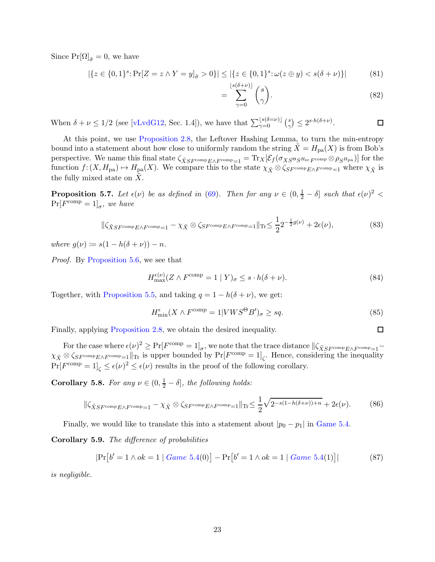Since  $\Pr[\Omega]_{\tilde{\sigma}} = 0$ , we have

$$
|\{z \in \{0,1\}^s \colon \Pr[Z = z \land Y = y]_{\tilde{\sigma}} > 0\}| \le |\{z \in \{0,1\}^s \colon \omega(z \oplus y) < s(\delta + \nu)\}| \tag{81}
$$

$$
= \sum_{\gamma=0}^{\lfloor s(\delta+\nu)\rfloor} \binom{s}{\gamma}.
$$
 (82)

When  $\delta + \nu \leq 1/2$  (see [\[vLvdG12,](#page-27-10) Sec. 1.4]), we have that  $\sum_{\gamma=0}^{\lfloor s(\delta=\nu) \rfloor} {s \choose \gamma}$  $S_{\gamma}^{s}$ )  $\leq 2^{s \cdot h(\delta + \nu)}$ .  $\Box$ 

At this point, we use [Proposition 2.8,](#page-9-2) the Leftover Hashing Lemma, to turn the min-entropy bound into a statement about how close to uniformly random the string  $\tilde{X} = H_{pa}(X)$  is from Bob's perspective. We name this final state  $\zeta_{\tilde{X}S F \text{comp}} E \wedge F \text{comp}} = \text{Tr}_X[\mathcal{E}_f(\sigma_{XS} \Theta_{S^{He} F^{\text{comp}}} \otimes \rho_{S^{H_{\text{pa}}}})]$  for the function  $f: (X, H_{pa}) \mapsto H_{pa}(X)$ . We compare this to the state  $\chi_{\tilde{X}} \otimes \zeta_{SF^{comp}E \wedge F^{comp}=1}$  where  $\chi_{\tilde{X}}$  is the fully mixed state on  $X$ .

**Proposition 5.7.** Let  $\epsilon(\nu)$  be as defined in [\(69\)](#page-21-0). Then for any  $\nu \in (0, \frac{1}{2} - \delta]$  such that  $\epsilon(\nu)^2$  <  $\Pr[F^{\text{comp}} = 1]_{\sigma}$ , we have

$$
\|\zeta_{\tilde{X}SF^{\text{comp}}E\wedge F^{\text{comp}}=1} - \chi_{\tilde{X}}\otimes \zeta_{SF^{\text{comp}}E\wedge F^{\text{comp}}=1}\|_{\text{Tr}}\leq \frac{1}{2}2^{-\frac{1}{2}g(\nu)} + 2\epsilon(\nu),\tag{83}
$$

where  $g(\nu) := s(1 - h(\delta + \nu)) - n$ .

Proof. By [Proposition 5.6,](#page-21-1) we see that

$$
H_{\max}^{\epsilon(\nu)}(Z \wedge F^{\text{comp}} = 1 \mid Y)_{\sigma} \le s \cdot h(\delta + \nu). \tag{84}
$$

Together, with [Proposition 5.5,](#page-20-0) and taking  $q = 1 - h(\delta + \nu)$ , we get:

$$
H_{\min}^{\epsilon}(X \wedge F^{\text{comp}} = 1|VWS^{\Theta}B')_{\sigma} \ge sq. \tag{85}
$$

 $\Box$ 

Finally, applying [Proposition 2.8,](#page-9-2) we obtain the desired inequality.

For the case where  $\epsilon(\nu)^2 \ge \Pr[F^{\text{comp}} = 1]_{\sigma}$ , we note that the trace distance  $\|\zeta_{\tilde{X}SF^{\text{comp}}E\wedge F^{\text{comp}}=1}$  $\chi_{\tilde{X}} \otimes \zeta_{SF^{\text{comp}}E \wedge F^{\text{comp}}=1}$  as upper bounded by  $\Pr[F^{\text{comp}}=1]_{\zeta}$ . Hence, considering the inequality  $\Pr[F^{\text{comp}} = 1]_{\zeta} \le \epsilon(\nu)^2 \le \epsilon(\nu)$  results in the proof of the following corollary.

**Corollary 5.8.** For any  $\nu \in (0, \frac{1}{2} - \delta]$ , the following holds:

$$
\|\zeta_{\tilde{X}SF^{\text{comp}}E\wedge F^{\text{comp}}=1} - \chi_{\tilde{X}}\otimes \zeta_{SF^{\text{comp}}E\wedge F^{\text{comp}}=1}\|_{\text{Tr}} \leq \frac{1}{2}\sqrt{2^{-s(1-h(\delta+\nu))+n}} + 2\epsilon(\nu). \tag{86}
$$

<span id="page-22-0"></span>Finally, we would like to translate this into a statement about  $|p_0 - p_1|$  in [Game 5.4.](#page-18-0)

Corollary 5.9. The difference of probabilities

$$
|\Pr[b' = 1 \land ok = 1 | Game 5.4(0)] - \Pr[b' = 1 \land ok = 1 | Game 5.4(1)]|
$$
\n(87)

is negligible.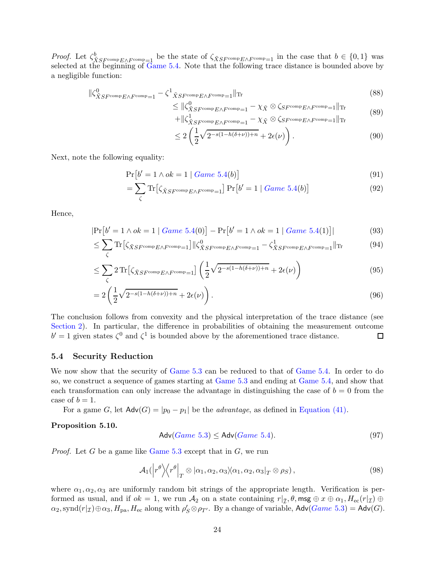Proof. Let  $\zeta_{\tilde{X}SF^{\text{comp}}E\wedge F^{\text{comp}}=1}^b$  be the state of  $\zeta_{\tilde{X}SF^{\text{comp}}E\wedge F^{\text{comp}}=1}$  in the case that  $b \in \{0,1\}$  was selected at the beginning of [Game 5.4.](#page-18-0) Note that the following trace distance is bounded above by a negligible function:

$$
\|\zeta_{\tilde{X}SF^{\text{comp}}E\wedge F^{\text{comp}}=1}^{0} - \zeta^{1} \tilde{X}SF^{\text{comp}}E\wedge F^{\text{comp}}=1\|\text{Tr} \tag{88}
$$

$$
\leq \|\zeta_{\tilde{X}SF^{\text{comp}}E\wedge F^{\text{comp}}=1}^{0} - \chi_{\tilde{X}} \otimes \zeta_{SF^{\text{comp}}E\wedge F^{\text{comp}}=1} \|_{\text{Tr}}
$$
\n
$$
+ \|\zeta_{\tilde{X}SF^{\text{comp}}E\wedge F^{\text{comp}}=1}^{1} - \chi_{\tilde{X}} \otimes \zeta_{SF^{\text{comp}}E\wedge F^{\text{comp}}=1} \|_{\text{Tr}}
$$
\n(89)

$$
\leq 2\left(\frac{1}{2}\sqrt{2^{-s(1-h(\delta+\nu))+n}}+2\epsilon(\nu)\right). \tag{90}
$$

Next, note the following equality:

$$
Pr[b' = 1 \land ok = 1 \mid Game\ 5.4(b)] \tag{91}
$$

$$
= \sum_{\zeta} \text{Tr} \left[ \zeta_{\tilde{X}SF^{\text{comp}}E \wedge F^{\text{comp}}=1} \right] \text{Pr} \left[ b'=1 \mid Game \ 5.4(b) \right] \tag{92}
$$

Hence,

$$
|\Pr[b' = 1 \land ok = 1 | Game 5.4(0)] - \Pr[b' = 1 \land ok = 1 | Game 5.4(1)]|
$$
\n(93)

$$
\leq \sum_{\zeta} \text{Tr} \left[ \zeta_{\tilde{X}SF^{\text{comp}}E\wedge F^{\text{comp}}=1} \right] \| \zeta_{\tilde{X}SF^{\text{comp}}E\wedge F^{\text{comp}}=1}^{0} - \zeta_{\tilde{X}SF^{\text{comp}}E\wedge F^{\text{comp}}=1}^{1} \| \text{Tr} \tag{94}
$$

$$
\leq \sum_{\zeta} 2 \operatorname{Tr} \left[ \zeta_{\tilde{X}SF^{\text{comp}}E \wedge F^{\text{comp}}=1} \right] \left( \frac{1}{2} \sqrt{2^{-s(1-h(\delta+\nu))+n}} + 2\epsilon(\nu) \right) \tag{95}
$$

$$
=2\left(\frac{1}{2}\sqrt{2^{-s(1-h(\delta+\nu))+n}}+2\epsilon(\nu)\right).
$$
\n(96)

The conclusion follows from convexity and the physical interpretation of the trace distance (see [Section 2\)](#page-5-1). In particular, the difference in probabilities of obtaining the measurement outcome  $b' = 1$  given states  $\zeta^0$  and  $\zeta^1$  is bounded above by the aforementioned trace distance.  $\Box$ 

### <span id="page-23-0"></span>5.4 Security Reduction

We now show that the security of [Game 5.3](#page-17-0) can be reduced to that of [Game 5.4.](#page-18-0) In order to do so, we construct a sequence of games starting at [Game 5.3](#page-17-0) and ending at [Game 5.4,](#page-18-0) and show that each transformation can only increase the advantage in distinguishing the case of  $b = 0$  from the case of  $b = 1$ .

<span id="page-23-1"></span>For a game G, let  $\mathsf{Adv}(G) = |p_0 - p_1|$  be the *advantage*, as defined in [Equation \(41\).](#page-13-4)

#### Proposition 5.10.

$$
Adv(Game 5.3) \le Adv(Game 5.4). \tag{97}
$$

*Proof.* Let G be a game like [Game 5.3](#page-17-0) except that in  $G$ , we run

$$
\mathcal{A}_1(\left| r^{\theta} \right) \left\langle r^{\theta} \right|_T \otimes \left| \alpha_1, \alpha_2, \alpha_3 \right\rangle \left\langle \alpha_1, \alpha_2, \alpha_3 \right|_T \otimes \rho_S), \tag{98}
$$

where  $\alpha_1, \alpha_2, \alpha_3$  are uniformly random bit strings of the appropriate length. Verification is performed as usual, and if  $ok = 1$ , we run  $\mathcal{A}_2$  on a state containing  $r|_{\bar{\mathcal{I}}}, \theta$ , msg  $\oplus x \oplus \alpha_1$ ,  $H_{ec}(r|_{\mathcal{I}}) \oplus$  $\alpha_2$ , synd $(r|_{\mathcal{I}}) \oplus \alpha_3$ ,  $H_{\text{pa}}$ ,  $H_{\text{ec}}$  along with  $\rho_S' \otimes \rho_{T'}$ . By a change of variable,  $\mathsf{Adv}(Game\ 5.3) = \mathsf{Adv}(G)$  $\mathsf{Adv}(Game\ 5.3) = \mathsf{Adv}(G)$  $\mathsf{Adv}(Game\ 5.3) = \mathsf{Adv}(G)$ .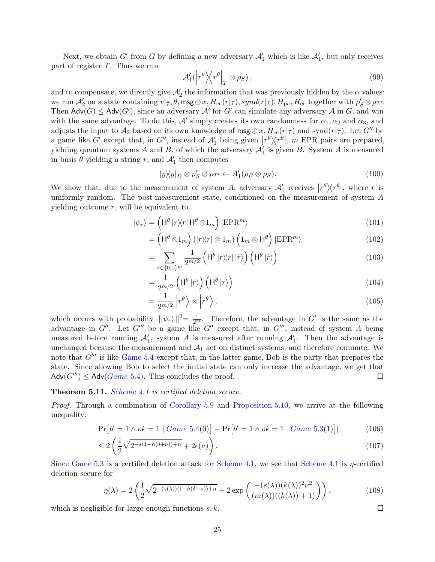Next, we obtain G' from G by defining a new adversary  $\mathcal{A}'_1$  which is like  $\mathcal{A}'_1$ , but only receives part of register  $T$ . Thus we run

$$
\mathcal{A}'_1(\left|r^{\theta}\right\rangle\!\!\left\langle r^{\theta}\right|_T\otimes\rho_S),\tag{99}
$$

and to compensate, we directly give  $\mathcal{A}'_2$  the information that was previously hidden by the  $\alpha$  values: we run  $\mathcal{A}'_2$  on a state containing  $r|_{\bar{\mathcal{I}}}, \theta$ , msg $\oplus x$ ,  $H_{\text{ec}}(r|_{\mathcal{I}})$ ,  $synd(r|_{\mathcal{I}})$ ,  $H_{\text{pa}}$ ,  $H_{\text{ec}}$  together with  $\rho_S' \otimes \rho_{T'}$ . Then  $\mathsf{Adv}(G) \leq \mathsf{Adv}(G')$ , since an adversary  $\mathcal{A}'$  for  $G'$  can simulate any adversary  $\mathcal{A}$  in  $G$ , and win with the same advantage. To do this,  $\mathcal{A}'$  simply creates its own randomness for  $\alpha_1, \alpha_2$  and  $\alpha_3$ , and adjusts the input to  $\mathcal{A}_2$  based on its own knowledge of  $\mathsf{msg} \oplus x$ ,  $H_{ec}(r|_{\mathcal{I}})$  and synd $(r|_{\mathcal{I}})$ . Let  $G''$  be a game like  $G'$  except that, in  $G''$ , instead of  $\mathcal{A}'_1$  being given  $|r^{\theta}\rangle\langle r^{\theta}|$ , m EPR pairs are prepared, yielding quantum systems A and B, of which the adversary  $\mathcal{A}'_1$  is given B. System A is measured in basis  $\theta$  yielding a string r, and  $\mathcal{A}'_1$  then computes

$$
|y\rangle\langle y|_D \otimes \rho'_S \otimes \rho_{T'} \leftarrow A'_1(\rho_B \otimes \rho_S). \tag{100}
$$

We show that, due to the measurement of system A, adversary  $\mathcal{A}'_1$  receives  $\left|r^{\theta}\right\rangle\!\left\langle r^{\theta}\right|$ , where r is uniformly random. The post-measurement state, conditioned on the measurement of system A yielding outcome  $r$ , will be equivalent to

$$
|\psi_r\rangle = \left(\mathsf{H}^{\theta} |r\rangle\langle r| \mathsf{H}^{\theta} \otimes 1_m\right) |\text{EPR}^m\rangle \tag{101}
$$

$$
= \left(\mathsf{H}^{\theta} \otimes 1_m\right) \left(|r\rangle\langle r| \otimes 1_m\right) \left(1_m \otimes \mathsf{H}^{\theta}\right) |\text{EPR}^m\rangle \tag{102}
$$

$$
=\sum_{\tilde{r}\in\{0,1\}^m}\frac{1}{2^{m/2}}\left(\mathsf{H}^{\theta}|r\rangle\langle r|\,|\tilde{r}\rangle\right)\left(\mathsf{H}^{\theta}|\tilde{r}\rangle\right) \tag{103}
$$

$$
=\frac{1}{2^{m/2}}\left(\mathsf{H}^{\theta}\left|r\right\rangle\right)\left(\mathsf{H}^{\theta}\left|r\right\rangle\right)
$$
\n(104)

$$
=\frac{1}{2^{m/2}}\left|r^{\theta}\right\rangle \otimes \left|r^{\theta}\right\rangle, \tag{105}
$$

which occurs with probability  $\|\psi_r\angle\|^2 = \frac{1}{2^m}$ . Therefore, the advantage in G' is the same as the advantage in  $G''$ . Let  $G'''$  be a game like  $G''$  except that, in  $G'''$ , instead of system A being measured before running  $A'_1$ , system A is measured after running  $A'_1$ . Then the advantage is unchanged because the measurement and  $A_1$  act on distinct systems, and therefore commute. We note that  $G^{\prime\prime\prime}$  is like [Game 5.4](#page-18-0) except that, in the latter game, Bob is the party that prepares the state. Since allowing Bob to select the initial state can only increase the advantage, we get that  $\mathsf{Adv}(G''') \leq \mathsf{Adv}(Game\ 5.4)$  $\mathsf{Adv}(G''') \leq \mathsf{Adv}(Game\ 5.4)$  $\mathsf{Adv}(G''') \leq \mathsf{Adv}(Game\ 5.4)$ . This concludes the proof. □

#### <span id="page-24-0"></span>**Theorem 5.11.** Scheme  $4.1$  is certified deletion secure.

Proof. Through a combination of [Corollary 5.9](#page-22-0) and [Proposition 5.10,](#page-23-1) we arrive at the following inequality:

$$
|\Pr[b' = 1 \land ok = 1 | Game 5.4(0)] - \Pr[b' = 1 \land ok = 1 | Game 5.3(1)]|
$$
 (106)

$$
\leq 2\left(\frac{1}{2}\sqrt{2^{-s(1-h(\delta+\nu))+n}}+2\epsilon(\nu)\right).
$$
\n(107)

Since [Game 5.3](#page-17-0) is a certified deletion attack for [Scheme 4.1,](#page-13-3) we see that [Scheme 4.1](#page-13-3) is  $\eta$ -certified deletion secure for

25

$$
\eta(\lambda) = 2\left(\frac{1}{2}\sqrt{2^{-(s(\lambda))(1-h(\delta+\nu))+n}} + 2\exp\left(\frac{-(s(\lambda))(k(\lambda))^2\nu^2}{(m(\lambda))((k(\lambda))+1)}\right)\right),
$$
\n(108)

which is negligible for large enough functions  $s, k$ .

 $\Box$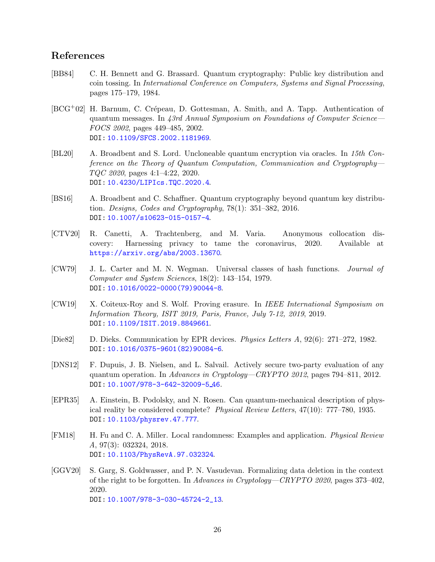# References

- <span id="page-25-1"></span>[BB84] C. H. Bennett and G. Brassard. Quantum cryptography: Public key distribution and coin tossing. In International Conference on Computers, Systems and Signal Processing, pages 175–179, 1984.
- <span id="page-25-10"></span> $[BCG^+02]$  H. Barnum, C. Crépeau, D. Gottesman, A. Smith, and A. Tapp. Authentication of quantum messages. In  $43rd$  Annual Symposium on Foundations of Computer Science— FOCS 2002, pages 449–485, 2002. DOI: [10.1109/SFCS.2002.1181969](http://dx.doi.org/10.1109/SFCS.2002.1181969).
- <span id="page-25-3"></span>[BL20] A. Broadbent and S. Lord. Uncloneable quantum encryption via oracles. In 15th Conference on the Theory of Quantum Computation, Communication and Cryptography— TQC 2020, pages 4:1–4:22, 2020. DOI: [10.4230/LIPIcs.TQC.2020.4](http://dx.doi.org/10.4230/LIPIcs.TQC.2020.4).
- <span id="page-25-2"></span>[BS16] A. Broadbent and C. Schaffner. Quantum cryptography beyond quantum key distribution. Designs, Codes and Cryptography, 78(1): 351–382, 2016. DOI: [10.1007/s10623-015-0157-4](http://dx.doi.org/10.1007/s10623-015-0157-4).
- <span id="page-25-7"></span>[CTV20] R. Canetti, A. Trachtenberg, and M. Varia. Anonymous collocation discovery: Harnessing privacy to tame the coronavirus, 2020. Available at <https://arxiv.org/abs/2003.13670>.
- <span id="page-25-9"></span>[CW79] J. L. Carter and M. N. Wegman. Universal classes of hash functions. Journal of Computer and System Sciences, 18(2): 143–154, 1979. DOI: [10.1016/0022-0000\(79\)90044-8](http://dx.doi.org/10.1016/0022-0000(79)90044-8).
- <span id="page-25-5"></span>[CW19] X. Coiteux-Roy and S. Wolf. Proving erasure. In IEEE International Symposium on Information Theory, ISIT 2019, Paris, France, July 7-12, 2019, 2019. DOI: [10.1109/ISIT.2019.8849661](http://dx.doi.org/10.1109/ISIT.2019.8849661).
- <span id="page-25-0"></span>[Die82] D. Dieks. Communication by EPR devices. Physics Letters A, 92(6): 271–272, 1982. DOI: [10.1016/0375-9601\(82\)90084-6](http://dx.doi.org/10.1016/0375-9601(82)90084-6).
- <span id="page-25-11"></span>[DNS12] F. Dupuis, J. B. Nielsen, and L. Salvail. Actively secure two-party evaluation of any quantum operation. In Advances in Cryptology—CRYPTO 2012, pages 794–811, 2012. DOI: [10.1007/978-3-642-32009-5](http://dx.doi.org/10.1007/978-3-642-32009-5_46) 46.
- <span id="page-25-8"></span>[EPR35] A. Einstein, B. Podolsky, and N. Rosen. Can quantum-mechanical description of physical reality be considered complete? Physical Review Letters, 47(10): 777–780, 1935. DOI: [10.1103/physrev.47.777](http://dx.doi.org/10.1103/physrev.47.777).
- <span id="page-25-4"></span>[FM18] H. Fu and C. A. Miller. Local randomness: Examples and application. Physical Review A, 97(3): 032324, 2018. DOI: [10.1103/PhysRevA.97.032324](http://dx.doi.org/10.1103/PhysRevA.97.032324).
- <span id="page-25-6"></span>[GGV20] S. Garg, S. Goldwasser, and P. N. Vasudevan. Formalizing data deletion in the context of the right to be forgotten. In Advances in Cryptology—CRYPTO 2020, pages 373–402, 2020. DOI: [10.1007/978-3-030-45724-2\\_13](http://dx.doi.org/10.1007/978-3-030-45724-2_13).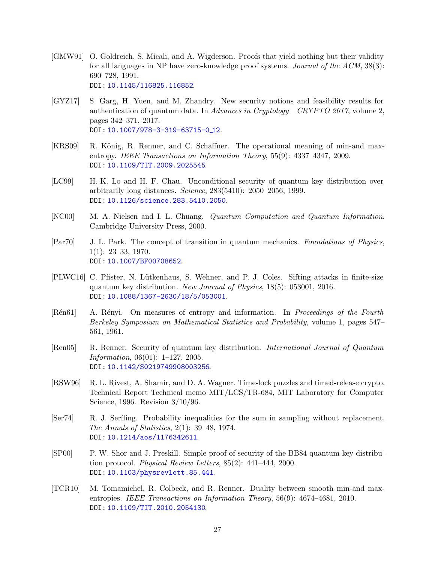- <span id="page-26-6"></span>[GMW91] O. Goldreich, S. Micali, and A. Wigderson. Proofs that yield nothing but their validity for all languages in NP have zero-knowledge proof systems. Journal of the ACM, 38(3): 690–728, 1991. DOI: [10.1145/116825.116852](http://dx.doi.org/10.1145/116825.116852).
- <span id="page-26-12"></span>[GYZ17] S. Garg, H. Yuen, and M. Zhandry. New security notions and feasibility results for authentication of quantum data. In Advances in Cryptology—CRYPTO 2017, volume 2, pages 342–371, 2017. DOI: [10.1007/978-3-319-63715-0](http://dx.doi.org/10.1007/978-3-319-63715-0_12)\_12.
- <span id="page-26-8"></span>[KRS09] R. König, R. Renner, and C. Schaffner. The operational meaning of min-and maxentropy. IEEE Transactions on Information Theory, 55(9): 4337–4347, 2009. DOI: [10.1109/TIT.2009.2025545](http://dx.doi.org/10.1109/TIT.2009.2025545).
- <span id="page-26-1"></span>[LC99] H.-K. Lo and H. F. Chau. Unconditional security of quantum key distribution over arbitrarily long distances. Science, 283(5410): 2050–2056, 1999. DOI: [10.1126/science.283.5410.2050](http://dx.doi.org/10.1126/science.283.5410.2050).
- <span id="page-26-7"></span>[NC00] M. A. Nielsen and I. L. Chuang. Quantum Computation and Quantum Information. Cambridge University Press, 2000.
- <span id="page-26-0"></span>[Par70] J. L. Park. The concept of transition in quantum mechanics. Foundations of Physics, 1(1): 23–33, 1970. DOI: [10.1007/BF00708652](http://dx.doi.org/10.1007/BF00708652).
- <span id="page-26-5"></span>[PLWC16] C. Pfister, N. Lütkenhaus, S. Wehner, and P. J. Coles. Sifting attacks in finite-size quantum key distribution. New Journal of Physics, 18(5): 053001, 2016. DOI: [10.1088/1367-2630/18/5/053001](http://dx.doi.org/10.1088/1367-2630/18/5/053001).
- <span id="page-26-9"></span>[Rén61] A. Rényi. On measures of entropy and information. In Proceedings of the Fourth Berkeley Symposium on Mathematical Statistics and Probability, volume 1, pages 547– 561, 1961.
- <span id="page-26-3"></span>[Ren05] R. Renner. Security of quantum key distribution. International Journal of Quantum Information, 06(01): 1–127, 2005. DOI: [10.1142/S0219749908003256](http://dx.doi.org/10.1142/S0219749908003256).
- <span id="page-26-4"></span>[RSW96] R. L. Rivest, A. Shamir, and D. A. Wagner. Time-lock puzzles and timed-release crypto. Technical Report Technical memo MIT/LCS/TR-684, MIT Laboratory for Computer Science, 1996. Revision 3/10/96.
- <span id="page-26-11"></span>[Ser74] R. J. Serfling. Probability inequalities for the sum in sampling without replacement. The Annals of Statistics, 2(1): 39–48, 1974. DOI: [10.1214/aos/1176342611](http://dx.doi.org/10.1214/aos/1176342611).
- <span id="page-26-2"></span>[SP00] P. W. Shor and J. Preskill. Simple proof of security of the BB84 quantum key distribution protocol. Physical Review Letters, 85(2): 441–444, 2000. DOI: [10.1103/physrevlett.85.441](http://dx.doi.org/10.1103/physrevlett.85.441).
- <span id="page-26-10"></span>[TCR10] M. Tomamichel, R. Colbeck, and R. Renner. Duality between smooth min-and maxentropies. IEEE Transactions on Information Theory, 56(9): 4674–4681, 2010. DOI: [10.1109/TIT.2010.2054130](http://dx.doi.org/10.1109/TIT.2010.2054130).